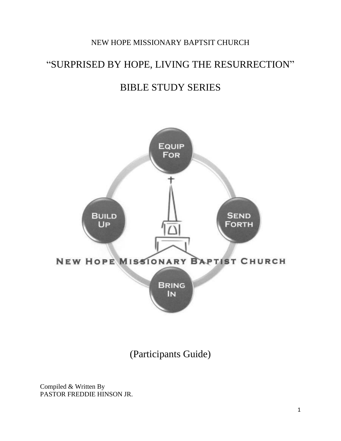### NEW HOPE MISSIONARY BAPTSIT CHURCH

## "SURPRISED BY HOPE, LIVING THE RESURRECTION"

## BIBLE STUDY SERIES



### (Participants Guide)

Compiled & Written By PASTOR FREDDIE HINSON JR.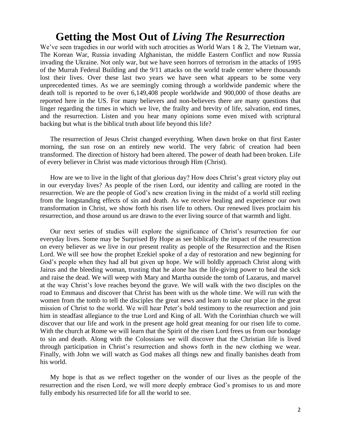### **Getting the Most Out of** *Living The Resurrection*

We've seen tragedies in our world with such atrocities as World Wars 1 & 2, The Vietnam war, The Korean War, Russia invading Afghanistan, the middle Eastern Conflict and now Russia invading the Ukraine. Not only war, but we have seen horrors of terrorism in the attacks of 1995 of the Murrah Federal Building and the 9/11 attacks on the world trade center where thousands lost their lives. Over these last two years we have seen what appears to be some very unprecedented times. As we are seemingly coming through a worldwide pandemic where the death toll is reported to be over 6,149,408 people worldwide and 900,000 of those deaths are reported here in the US. For many believers and non-believers there are many questions that linger regarding the times in which we live, the frailty and brevity of life, salvation, end times, and the resurrection. Listen and you hear many opinions some even mixed with scriptural backing but what is the biblical truth about life beyond this life?

The resurrection of Jesus Christ changed everything. When dawn broke on that first Easter morning, the sun rose on an entirely new world. The very fabric of creation had been transformed. The direction of history had been altered. The power of death had been broken. Life of every believer in Christ was made victorious through Him (Christ).

How are we to live in the light of that glorious day? How does Christ's great victory play out in our everyday lives? As people of the risen Lord, our identity and calling are rooted in the resurrection. We are the people of God's new creation living in the midst of a world still reeling from the longstanding effects of sin and death. As we receive healing and experience our own transformation in Christ, we show forth his risen life to others. Our renewed lives proclaim his resurrection, and those around us are drawn to the ever living source of that warmth and light.

Our next series of studies will explore the significance of Christ's resurrection for our everyday lives. Some may be Surprised By Hope as see biblically the impact of the resurrection on every believer as we live in our present reality as people of the Resurrection and the Risen Lord. We will see how the prophet Ezekiel spoke of a day of restoration and new beginning for God's people when they had all but given up hope. We will boldly approach Christ along with Jairus and the bleeding woman, trusting that he alone has the life-giving power to heal the sick and raise the dead. We will weep with Mary and Martha outside the tomb of Lazarus, and marvel at the way Christ's love reaches beyond the grave. We will walk with the two disciples on the road to Emmaus and discover that Christ has been with us the whole time. We will run with the women from the tomb to tell the disciples the great news and learn to take our place in the great mission of Christ to the world. We will hear Peter's bold testimony to the resurrection and join him in steadfast allegiance to the true Lord and King of all. With the Corinthian church we will discover that our life and work in the present age hold great meaning for our risen life to come. With the church at Rome we will learn that the Spirit of the risen Lord frees us from our bondage to sin and death. Along with the Colossians we will discover that the Christian life is lived through participation in Christ's resurrection and shows forth in the new clothing we wear. Finally, with John we will watch as God makes all things new and finally banishes death from his world.

My hope is that as we reflect together on the wonder of our lives as the people of the resurrection and the risen Lord, we will more deeply embrace God's promises to us and more fully embody his resurrected life for all the world to see.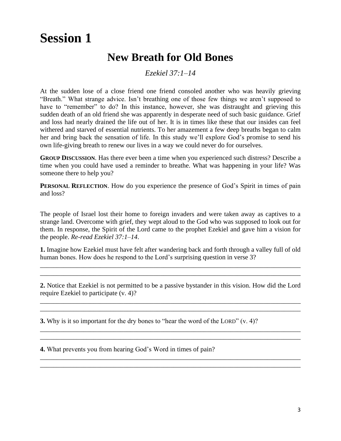## **Session 1**

### **New Breath for Old Bones**

*Ezekiel 37:1–14*

At the sudden lose of a close friend one friend consoled another who was heavily grieving "Breath." What strange advice. Isn't breathing one of those few things we aren't supposed to have to "remember" to do? In this instance, however, she was distraught and grieving this sudden death of an old friend she was apparently in desperate need of such basic guidance. Grief and loss had nearly drained the life out of her. It is in times like these that our insides can feel withered and starved of essential nutrients. To her amazement a few deep breaths began to calm her and bring back the sensation of life. In this study we'll explore God's promise to send his own life-giving breath to renew our lives in a way we could never do for ourselves.

**GROUP DISCUSSION**. Has there ever been a time when you experienced such distress? Describe a time when you could have used a reminder to breathe. What was happening in your life? Was someone there to help you?

**PERSONAL REFLECTION.** How do you experience the presence of God's Spirit in times of pain and loss?

The people of Israel lost their home to foreign invaders and were taken away as captives to a strange land. Overcome with grief, they wept aloud to the God who was supposed to look out for them. In response, the Spirit of the Lord came to the prophet Ezekiel and gave him a vision for the people. *Re-read Ezekiel 37:1–14*.

**1.** Imagine how Ezekiel must have felt after wandering back and forth through a valley full of old human bones. How does he respond to the Lord's surprising question in verse 3?

\_\_\_\_\_\_\_\_\_\_\_\_\_\_\_\_\_\_\_\_\_\_\_\_\_\_\_\_\_\_\_\_\_\_\_\_\_\_\_\_\_\_\_\_\_\_\_\_\_\_\_\_\_\_\_\_\_\_\_\_\_\_\_\_\_\_\_\_\_\_\_\_\_\_\_\_\_\_ \_\_\_\_\_\_\_\_\_\_\_\_\_\_\_\_\_\_\_\_\_\_\_\_\_\_\_\_\_\_\_\_\_\_\_\_\_\_\_\_\_\_\_\_\_\_\_\_\_\_\_\_\_\_\_\_\_\_\_\_\_\_\_\_\_\_\_\_\_\_\_\_\_\_\_\_\_\_

**2.** Notice that Ezekiel is not permitted to be a passive bystander in this vision. How did the Lord require Ezekiel to participate (v. 4)?

\_\_\_\_\_\_\_\_\_\_\_\_\_\_\_\_\_\_\_\_\_\_\_\_\_\_\_\_\_\_\_\_\_\_\_\_\_\_\_\_\_\_\_\_\_\_\_\_\_\_\_\_\_\_\_\_\_\_\_\_\_\_\_\_\_\_\_\_\_\_\_\_\_\_\_\_\_\_ \_\_\_\_\_\_\_\_\_\_\_\_\_\_\_\_\_\_\_\_\_\_\_\_\_\_\_\_\_\_\_\_\_\_\_\_\_\_\_\_\_\_\_\_\_\_\_\_\_\_\_\_\_\_\_\_\_\_\_\_\_\_\_\_\_\_\_\_\_\_\_\_\_\_\_\_\_\_

\_\_\_\_\_\_\_\_\_\_\_\_\_\_\_\_\_\_\_\_\_\_\_\_\_\_\_\_\_\_\_\_\_\_\_\_\_\_\_\_\_\_\_\_\_\_\_\_\_\_\_\_\_\_\_\_\_\_\_\_\_\_\_\_\_\_\_\_\_\_\_\_\_\_\_\_\_\_ \_\_\_\_\_\_\_\_\_\_\_\_\_\_\_\_\_\_\_\_\_\_\_\_\_\_\_\_\_\_\_\_\_\_\_\_\_\_\_\_\_\_\_\_\_\_\_\_\_\_\_\_\_\_\_\_\_\_\_\_\_\_\_\_\_\_\_\_\_\_\_\_\_\_\_\_\_\_

\_\_\_\_\_\_\_\_\_\_\_\_\_\_\_\_\_\_\_\_\_\_\_\_\_\_\_\_\_\_\_\_\_\_\_\_\_\_\_\_\_\_\_\_\_\_\_\_\_\_\_\_\_\_\_\_\_\_\_\_\_\_\_\_\_\_\_\_\_\_\_\_\_\_\_\_\_\_ \_\_\_\_\_\_\_\_\_\_\_\_\_\_\_\_\_\_\_\_\_\_\_\_\_\_\_\_\_\_\_\_\_\_\_\_\_\_\_\_\_\_\_\_\_\_\_\_\_\_\_\_\_\_\_\_\_\_\_\_\_\_\_\_\_\_\_\_\_\_\_\_\_\_\_\_\_\_

**3.** Why is it so important for the dry bones to "hear the word of the LORD" (v. 4)?

**4.** What prevents you from hearing God's Word in times of pain?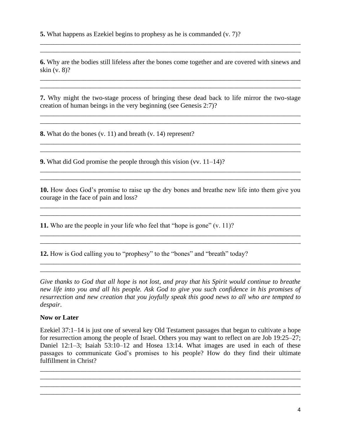**5.** What happens as Ezekiel begins to prophesy as he is commanded (v. 7)?

**6.** Why are the bodies still lifeless after the bones come together and are covered with sinews and skin (v. 8)?

\_\_\_\_\_\_\_\_\_\_\_\_\_\_\_\_\_\_\_\_\_\_\_\_\_\_\_\_\_\_\_\_\_\_\_\_\_\_\_\_\_\_\_\_\_\_\_\_\_\_\_\_\_\_\_\_\_\_\_\_\_\_\_\_\_\_\_\_\_\_\_\_\_\_\_\_\_\_ \_\_\_\_\_\_\_\_\_\_\_\_\_\_\_\_\_\_\_\_\_\_\_\_\_\_\_\_\_\_\_\_\_\_\_\_\_\_\_\_\_\_\_\_\_\_\_\_\_\_\_\_\_\_\_\_\_\_\_\_\_\_\_\_\_\_\_\_\_\_\_\_\_\_\_\_\_\_

\_\_\_\_\_\_\_\_\_\_\_\_\_\_\_\_\_\_\_\_\_\_\_\_\_\_\_\_\_\_\_\_\_\_\_\_\_\_\_\_\_\_\_\_\_\_\_\_\_\_\_\_\_\_\_\_\_\_\_\_\_\_\_\_\_\_\_\_\_\_\_\_\_\_\_\_\_\_ \_\_\_\_\_\_\_\_\_\_\_\_\_\_\_\_\_\_\_\_\_\_\_\_\_\_\_\_\_\_\_\_\_\_\_\_\_\_\_\_\_\_\_\_\_\_\_\_\_\_\_\_\_\_\_\_\_\_\_\_\_\_\_\_\_\_\_\_\_\_\_\_\_\_\_\_\_\_

**7.** Why might the two-stage process of bringing these dead back to life mirror the two-stage creation of human beings in the very beginning (see Genesis 2:7)?

\_\_\_\_\_\_\_\_\_\_\_\_\_\_\_\_\_\_\_\_\_\_\_\_\_\_\_\_\_\_\_\_\_\_\_\_\_\_\_\_\_\_\_\_\_\_\_\_\_\_\_\_\_\_\_\_\_\_\_\_\_\_\_\_\_\_\_\_\_\_\_\_\_\_\_\_\_\_ \_\_\_\_\_\_\_\_\_\_\_\_\_\_\_\_\_\_\_\_\_\_\_\_\_\_\_\_\_\_\_\_\_\_\_\_\_\_\_\_\_\_\_\_\_\_\_\_\_\_\_\_\_\_\_\_\_\_\_\_\_\_\_\_\_\_\_\_\_\_\_\_\_\_\_\_\_\_

\_\_\_\_\_\_\_\_\_\_\_\_\_\_\_\_\_\_\_\_\_\_\_\_\_\_\_\_\_\_\_\_\_\_\_\_\_\_\_\_\_\_\_\_\_\_\_\_\_\_\_\_\_\_\_\_\_\_\_\_\_\_\_\_\_\_\_\_\_\_\_\_\_\_\_\_\_\_

**8.** What do the bones (v. 11) and breath (v. 14) represent?

**9.** What did God promise the people through this vision (vv. 11–14)?

**10.** How does God's promise to raise up the dry bones and breathe new life into them give you courage in the face of pain and loss?

\_\_\_\_\_\_\_\_\_\_\_\_\_\_\_\_\_\_\_\_\_\_\_\_\_\_\_\_\_\_\_\_\_\_\_\_\_\_\_\_\_\_\_\_\_\_\_\_\_\_\_\_\_\_\_\_\_\_\_\_\_\_\_\_\_\_\_\_\_\_\_\_\_\_\_\_\_\_ \_\_\_\_\_\_\_\_\_\_\_\_\_\_\_\_\_\_\_\_\_\_\_\_\_\_\_\_\_\_\_\_\_\_\_\_\_\_\_\_\_\_\_\_\_\_\_\_\_\_\_\_\_\_\_\_\_\_\_\_\_\_\_\_\_\_\_\_\_\_\_\_\_\_\_\_\_\_

\_\_\_\_\_\_\_\_\_\_\_\_\_\_\_\_\_\_\_\_\_\_\_\_\_\_\_\_\_\_\_\_\_\_\_\_\_\_\_\_\_\_\_\_\_\_\_\_\_\_\_\_\_\_\_\_\_\_\_\_\_\_\_\_\_\_\_\_\_\_\_\_\_\_\_\_\_\_

\_\_\_\_\_\_\_\_\_\_\_\_\_\_\_\_\_\_\_\_\_\_\_\_\_\_\_\_\_\_\_\_\_\_\_\_\_\_\_\_\_\_\_\_\_\_\_\_\_\_\_\_\_\_\_\_\_\_\_\_\_\_\_\_\_\_\_\_\_\_\_\_\_\_\_\_\_\_ \_\_\_\_\_\_\_\_\_\_\_\_\_\_\_\_\_\_\_\_\_\_\_\_\_\_\_\_\_\_\_\_\_\_\_\_\_\_\_\_\_\_\_\_\_\_\_\_\_\_\_\_\_\_\_\_\_\_\_\_\_\_\_\_\_\_\_\_\_\_\_\_\_\_\_\_\_\_

\_\_\_\_\_\_\_\_\_\_\_\_\_\_\_\_\_\_\_\_\_\_\_\_\_\_\_\_\_\_\_\_\_\_\_\_\_\_\_\_\_\_\_\_\_\_\_\_\_\_\_\_\_\_\_\_\_\_\_\_\_\_\_\_\_\_\_\_\_\_\_\_\_\_\_\_\_\_ \_\_\_\_\_\_\_\_\_\_\_\_\_\_\_\_\_\_\_\_\_\_\_\_\_\_\_\_\_\_\_\_\_\_\_\_\_\_\_\_\_\_\_\_\_\_\_\_\_\_\_\_\_\_\_\_\_\_\_\_\_\_\_\_\_\_\_\_\_\_\_\_\_\_\_\_\_\_

**11.** Who are the people in your life who feel that "hope is gone" (v. 11)?

**12.** How is God calling you to "prophesy" to the "bones" and "breath" today?

\_\_\_\_\_\_\_\_\_\_\_\_\_\_\_\_\_\_\_\_\_\_\_\_\_\_\_\_\_\_\_\_\_\_\_\_\_\_\_\_\_\_\_\_\_\_\_\_\_\_\_\_\_\_\_\_\_\_\_\_\_\_\_\_\_\_\_\_\_\_\_\_\_\_\_\_\_\_

*Give thanks to God that all hope is not lost, and pray that his Spirit would continue to breathe new life into you and all his people. Ask God to give you such confidence in his promises of resurrection and new creation that you joyfully speak this good news to all who are tempted to despair*.

#### **Now or Later**

Ezekiel 37:1–14 is just one of several key Old Testament passages that began to cultivate a hope for resurrection among the people of Israel. Others you may want to reflect on are Job 19:25–27; Daniel 12:1–3; Isaiah 53:10–12 and Hosea 13:14. What images are used in each of these passages to communicate God's promises to his people? How do they find their ultimate fulfillment in Christ?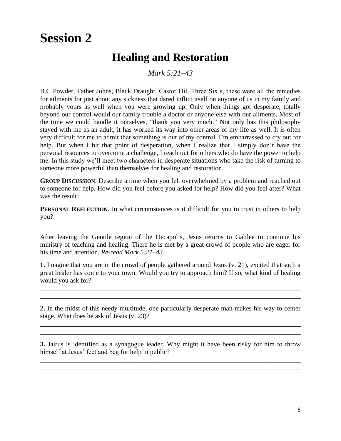## **Session 2**

### **Healing and Restoration**

*Mark 5:21–43*

B.C Powder, Father Johns, Black Draught, Castor Oil, Three Six's, these were all the remedies for ailments for just about any sickness that dared inflict itself on anyone of us in my family and probably yours as well when you were growing up. Only when things got desperate, totally beyond our control would our family trouble a doctor or anyone else with our ailments. Most of the time we could handle it ourselves, "thank you very much." Not only has this philosophy stayed with me as an adult, it has worked its way into other areas of my life as well. It is often very difficult for me to admit that something is out of my control. I'm embarrassed to cry out for help. But when I hit that point of desperation, when I realize that I simply don't have the personal resources to overcome a challenge, I reach out for others who do have the power to help me. In this study we'll meet two characters in desperate situations who take the risk of turning to someone more powerful than themselves for healing and restoration.

**GROUP DISCUSSION.** Describe a time when you felt overwhelmed by a problem and reached out to someone for help. How did you feel before you asked for help? How did you feel after? What was the result?

**PERSONAL REFLECTION.** In what circumstances is it difficult for you to trust in others to help you?

After leaving the Gentile region of the Decapolis, Jesus returns to Galilee to continue his ministry of teaching and healing. There he is met by a great crowd of people who are eager for his time and attention. *Re-read Mark 5:21–43*.

**1.** Imagine that you are in the crowd of people gathered around Jesus (v. 21), excited that such a great healer has come to your town. Would you try to approach him? If so, what kind of healing would you ask for?

\_\_\_\_\_\_\_\_\_\_\_\_\_\_\_\_\_\_\_\_\_\_\_\_\_\_\_\_\_\_\_\_\_\_\_\_\_\_\_\_\_\_\_\_\_\_\_\_\_\_\_\_\_\_\_\_\_\_\_\_\_\_\_\_\_\_\_\_\_\_\_\_\_\_\_\_\_\_ \_\_\_\_\_\_\_\_\_\_\_\_\_\_\_\_\_\_\_\_\_\_\_\_\_\_\_\_\_\_\_\_\_\_\_\_\_\_\_\_\_\_\_\_\_\_\_\_\_\_\_\_\_\_\_\_\_\_\_\_\_\_\_\_\_\_\_\_\_\_\_\_\_\_\_\_\_\_

**2.** In the midst of this needy multitude, one particularly desperate man makes his way to center stage. What does he ask of Jesus (v. 23)?

\_\_\_\_\_\_\_\_\_\_\_\_\_\_\_\_\_\_\_\_\_\_\_\_\_\_\_\_\_\_\_\_\_\_\_\_\_\_\_\_\_\_\_\_\_\_\_\_\_\_\_\_\_\_\_\_\_\_\_\_\_\_\_\_\_\_\_\_\_\_\_\_\_\_\_\_\_\_ \_\_\_\_\_\_\_\_\_\_\_\_\_\_\_\_\_\_\_\_\_\_\_\_\_\_\_\_\_\_\_\_\_\_\_\_\_\_\_\_\_\_\_\_\_\_\_\_\_\_\_\_\_\_\_\_\_\_\_\_\_\_\_\_\_\_\_\_\_\_\_\_\_\_\_\_\_\_

**3.** Jairus is identified as a synagogue leader. Why might it have been risky for him to throw himself at Jesus' feet and beg for help in public?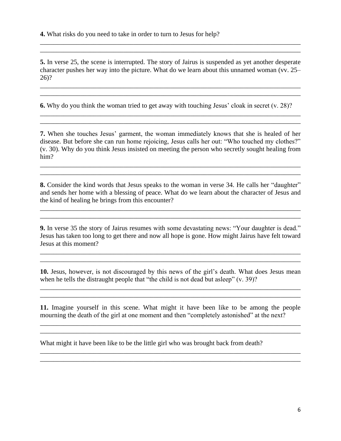**4.** What risks do you need to take in order to turn to Jesus for help?

**5.** In verse 25, the scene is interrupted. The story of Jairus is suspended as yet another desperate character pushes her way into the picture. What do we learn about this unnamed woman (vv. 25– 26)?

\_\_\_\_\_\_\_\_\_\_\_\_\_\_\_\_\_\_\_\_\_\_\_\_\_\_\_\_\_\_\_\_\_\_\_\_\_\_\_\_\_\_\_\_\_\_\_\_\_\_\_\_\_\_\_\_\_\_\_\_\_\_\_\_\_\_\_\_\_\_\_\_\_\_\_\_\_\_ \_\_\_\_\_\_\_\_\_\_\_\_\_\_\_\_\_\_\_\_\_\_\_\_\_\_\_\_\_\_\_\_\_\_\_\_\_\_\_\_\_\_\_\_\_\_\_\_\_\_\_\_\_\_\_\_\_\_\_\_\_\_\_\_\_\_\_\_\_\_\_\_\_\_\_\_\_\_

\_\_\_\_\_\_\_\_\_\_\_\_\_\_\_\_\_\_\_\_\_\_\_\_\_\_\_\_\_\_\_\_\_\_\_\_\_\_\_\_\_\_\_\_\_\_\_\_\_\_\_\_\_\_\_\_\_\_\_\_\_\_\_\_\_\_\_\_\_\_\_\_\_\_\_\_\_\_ \_\_\_\_\_\_\_\_\_\_\_\_\_\_\_\_\_\_\_\_\_\_\_\_\_\_\_\_\_\_\_\_\_\_\_\_\_\_\_\_\_\_\_\_\_\_\_\_\_\_\_\_\_\_\_\_\_\_\_\_\_\_\_\_\_\_\_\_\_\_\_\_\_\_\_\_\_\_

**6.** Why do you think the woman tried to get away with touching Jesus' cloak in secret (v. 28)?

\_\_\_\_\_\_\_\_\_\_\_\_\_\_\_\_\_\_\_\_\_\_\_\_\_\_\_\_\_\_\_\_\_\_\_\_\_\_\_\_\_\_\_\_\_\_\_\_\_\_\_\_\_\_\_\_\_\_\_\_\_\_\_\_\_\_\_\_\_\_\_\_\_\_\_\_\_\_ \_\_\_\_\_\_\_\_\_\_\_\_\_\_\_\_\_\_\_\_\_\_\_\_\_\_\_\_\_\_\_\_\_\_\_\_\_\_\_\_\_\_\_\_\_\_\_\_\_\_\_\_\_\_\_\_\_\_\_\_\_\_\_\_\_\_\_\_\_\_\_\_\_\_\_\_\_\_

**7.** When she touches Jesus' garment, the woman immediately knows that she is healed of her disease. But before she can run home rejoicing, Jesus calls her out: "Who touched my clothes?" (v. 30). Why do you think Jesus insisted on meeting the person who secretly sought healing from him?

\_\_\_\_\_\_\_\_\_\_\_\_\_\_\_\_\_\_\_\_\_\_\_\_\_\_\_\_\_\_\_\_\_\_\_\_\_\_\_\_\_\_\_\_\_\_\_\_\_\_\_\_\_\_\_\_\_\_\_\_\_\_\_\_\_\_\_\_\_\_\_\_\_\_\_\_\_\_ \_\_\_\_\_\_\_\_\_\_\_\_\_\_\_\_\_\_\_\_\_\_\_\_\_\_\_\_\_\_\_\_\_\_\_\_\_\_\_\_\_\_\_\_\_\_\_\_\_\_\_\_\_\_\_\_\_\_\_\_\_\_\_\_\_\_\_\_\_\_\_\_\_\_\_\_\_\_

**8.** Consider the kind words that Jesus speaks to the woman in verse 34. He calls her "daughter" and sends her home with a blessing of peace. What do we learn about the character of Jesus and the kind of healing he brings from this encounter?

\_\_\_\_\_\_\_\_\_\_\_\_\_\_\_\_\_\_\_\_\_\_\_\_\_\_\_\_\_\_\_\_\_\_\_\_\_\_\_\_\_\_\_\_\_\_\_\_\_\_\_\_\_\_\_\_\_\_\_\_\_\_\_\_\_\_\_\_\_\_\_\_\_\_\_\_\_\_ \_\_\_\_\_\_\_\_\_\_\_\_\_\_\_\_\_\_\_\_\_\_\_\_\_\_\_\_\_\_\_\_\_\_\_\_\_\_\_\_\_\_\_\_\_\_\_\_\_\_\_\_\_\_\_\_\_\_\_\_\_\_\_\_\_\_\_\_\_\_\_\_\_\_\_\_\_\_

**9.** In verse 35 the story of Jairus resumes with some devastating news: "Your daughter is dead." Jesus has taken too long to get there and now all hope is gone. How might Jairus have felt toward Jesus at this moment?

\_\_\_\_\_\_\_\_\_\_\_\_\_\_\_\_\_\_\_\_\_\_\_\_\_\_\_\_\_\_\_\_\_\_\_\_\_\_\_\_\_\_\_\_\_\_\_\_\_\_\_\_\_\_\_\_\_\_\_\_\_\_\_\_\_\_\_\_\_\_\_\_\_\_\_\_\_\_ \_\_\_\_\_\_\_\_\_\_\_\_\_\_\_\_\_\_\_\_\_\_\_\_\_\_\_\_\_\_\_\_\_\_\_\_\_\_\_\_\_\_\_\_\_\_\_\_\_\_\_\_\_\_\_\_\_\_\_\_\_\_\_\_\_\_\_\_\_\_\_\_\_\_\_\_\_\_

**10.** Jesus, however, is not discouraged by this news of the girl's death. What does Jesus mean when he tells the distraught people that "the child is not dead but asleep" (v. 39)?

\_\_\_\_\_\_\_\_\_\_\_\_\_\_\_\_\_\_\_\_\_\_\_\_\_\_\_\_\_\_\_\_\_\_\_\_\_\_\_\_\_\_\_\_\_\_\_\_\_\_\_\_\_\_\_\_\_\_\_\_\_\_\_\_\_\_\_\_\_\_\_\_\_\_\_\_\_\_ \_\_\_\_\_\_\_\_\_\_\_\_\_\_\_\_\_\_\_\_\_\_\_\_\_\_\_\_\_\_\_\_\_\_\_\_\_\_\_\_\_\_\_\_\_\_\_\_\_\_\_\_\_\_\_\_\_\_\_\_\_\_\_\_\_\_\_\_\_\_\_\_\_\_\_\_\_\_

**11.** Imagine yourself in this scene. What might it have been like to be among the people mourning the death of the girl at one moment and then "completely astonished" at the next?

\_\_\_\_\_\_\_\_\_\_\_\_\_\_\_\_\_\_\_\_\_\_\_\_\_\_\_\_\_\_\_\_\_\_\_\_\_\_\_\_\_\_\_\_\_\_\_\_\_\_\_\_\_\_\_\_\_\_\_\_\_\_\_\_\_\_\_\_\_\_\_\_\_\_\_\_\_\_ \_\_\_\_\_\_\_\_\_\_\_\_\_\_\_\_\_\_\_\_\_\_\_\_\_\_\_\_\_\_\_\_\_\_\_\_\_\_\_\_\_\_\_\_\_\_\_\_\_\_\_\_\_\_\_\_\_\_\_\_\_\_\_\_\_\_\_\_\_\_\_\_\_\_\_\_\_\_

\_\_\_\_\_\_\_\_\_\_\_\_\_\_\_\_\_\_\_\_\_\_\_\_\_\_\_\_\_\_\_\_\_\_\_\_\_\_\_\_\_\_\_\_\_\_\_\_\_\_\_\_\_\_\_\_\_\_\_\_\_\_\_\_\_\_\_\_\_\_\_\_\_\_\_\_\_\_ \_\_\_\_\_\_\_\_\_\_\_\_\_\_\_\_\_\_\_\_\_\_\_\_\_\_\_\_\_\_\_\_\_\_\_\_\_\_\_\_\_\_\_\_\_\_\_\_\_\_\_\_\_\_\_\_\_\_\_\_\_\_\_\_\_\_\_\_\_\_\_\_\_\_\_\_\_\_

What might it have been like to be the little girl who was brought back from death?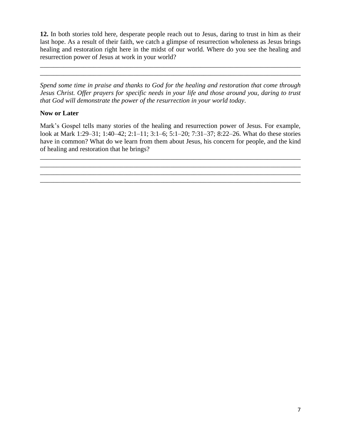**12.** In both stories told here, desperate people reach out to Jesus, daring to trust in him as their last hope. As a result of their faith, we catch a glimpse of resurrection wholeness as Jesus brings healing and restoration right here in the midst of our world. Where do you see the healing and resurrection power of Jesus at work in your world?

\_\_\_\_\_\_\_\_\_\_\_\_\_\_\_\_\_\_\_\_\_\_\_\_\_\_\_\_\_\_\_\_\_\_\_\_\_\_\_\_\_\_\_\_\_\_\_\_\_\_\_\_\_\_\_\_\_\_\_\_\_\_\_\_\_\_\_\_\_\_\_\_\_\_\_\_\_\_ \_\_\_\_\_\_\_\_\_\_\_\_\_\_\_\_\_\_\_\_\_\_\_\_\_\_\_\_\_\_\_\_\_\_\_\_\_\_\_\_\_\_\_\_\_\_\_\_\_\_\_\_\_\_\_\_\_\_\_\_\_\_\_\_\_\_\_\_\_\_\_\_\_\_\_\_\_\_

*Spend some time in praise and thanks to God for the healing and restoration that come through Jesus Christ. Offer prayers for specific needs in your life and those around you, daring to trust that God will demonstrate the power of the resurrection in your world today*.

### **Now or Later**

Mark's Gospel tells many stories of the healing and resurrection power of Jesus. For example, look at Mark 1:29–31; 1:40–42; 2:1–11; 3:1–6; 5:1–20; 7:31–37; 8:22–26. What do these stories have in common? What do we learn from them about Jesus, his concern for people, and the kind of healing and restoration that he brings?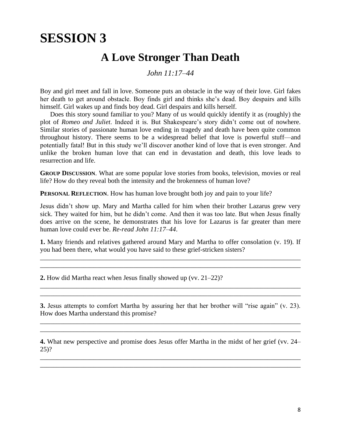### **A Love Stronger Than Death**

*John 11:17–44*

Boy and girl meet and fall in love. Someone puts an obstacle in the way of their love. Girl fakes her death to get around obstacle. Boy finds girl and thinks she's dead. Boy despairs and kills himself. Girl wakes up and finds boy dead. Girl despairs and kills herself.

Does this story sound familiar to you? Many of us would quickly identify it as (roughly) the plot of *Romeo and Juliet*. Indeed it is. But Shakespeare's story didn't come out of nowhere. Similar stories of passionate human love ending in tragedy and death have been quite common throughout history. There seems to be a widespread belief that love is powerful stuff—and potentially fatal! But in this study we'll discover another kind of love that is even stronger. And unlike the broken human love that can end in devastation and death, this love leads to resurrection and life.

**GROUP DISCUSSION**. What are some popular love stories from books, television, movies or real life? How do they reveal both the intensity and the brokenness of human love?

**PERSONAL REFLECTION**. How has human love brought both joy and pain to your life?

Jesus didn't show up. Mary and Martha called for him when their brother Lazarus grew very sick. They waited for him, but he didn't come. And then it was too late. But when Jesus finally does arrive on the scene, he demonstrates that his love for Lazarus is far greater than mere human love could ever be. *Re-read John 11:17–44*.

**1.** Many friends and relatives gathered around Mary and Martha to offer consolation (v. 19). If you had been there, what would you have said to these grief-stricken sisters?

\_\_\_\_\_\_\_\_\_\_\_\_\_\_\_\_\_\_\_\_\_\_\_\_\_\_\_\_\_\_\_\_\_\_\_\_\_\_\_\_\_\_\_\_\_\_\_\_\_\_\_\_\_\_\_\_\_\_\_\_\_\_\_\_\_\_\_\_\_\_\_\_\_\_\_\_\_\_ \_\_\_\_\_\_\_\_\_\_\_\_\_\_\_\_\_\_\_\_\_\_\_\_\_\_\_\_\_\_\_\_\_\_\_\_\_\_\_\_\_\_\_\_\_\_\_\_\_\_\_\_\_\_\_\_\_\_\_\_\_\_\_\_\_\_\_\_\_\_\_\_\_\_\_\_\_\_

**2.** How did Martha react when Jesus finally showed up (vv. 21–22)?

**3.** Jesus attempts to comfort Martha by assuring her that her brother will "rise again" (v. 23). How does Martha understand this promise?

\_\_\_\_\_\_\_\_\_\_\_\_\_\_\_\_\_\_\_\_\_\_\_\_\_\_\_\_\_\_\_\_\_\_\_\_\_\_\_\_\_\_\_\_\_\_\_\_\_\_\_\_\_\_\_\_\_\_\_\_\_\_\_\_\_\_\_\_\_\_\_\_\_\_\_\_\_\_ \_\_\_\_\_\_\_\_\_\_\_\_\_\_\_\_\_\_\_\_\_\_\_\_\_\_\_\_\_\_\_\_\_\_\_\_\_\_\_\_\_\_\_\_\_\_\_\_\_\_\_\_\_\_\_\_\_\_\_\_\_\_\_\_\_\_\_\_\_\_\_\_\_\_\_\_\_\_

\_\_\_\_\_\_\_\_\_\_\_\_\_\_\_\_\_\_\_\_\_\_\_\_\_\_\_\_\_\_\_\_\_\_\_\_\_\_\_\_\_\_\_\_\_\_\_\_\_\_\_\_\_\_\_\_\_\_\_\_\_\_\_\_\_\_\_\_\_\_\_\_\_\_\_\_\_\_ \_\_\_\_\_\_\_\_\_\_\_\_\_\_\_\_\_\_\_\_\_\_\_\_\_\_\_\_\_\_\_\_\_\_\_\_\_\_\_\_\_\_\_\_\_\_\_\_\_\_\_\_\_\_\_\_\_\_\_\_\_\_\_\_\_\_\_\_\_\_\_\_\_\_\_\_\_\_

**4.** What new perspective and promise does Jesus offer Martha in the midst of her grief (vv. 24– 25)?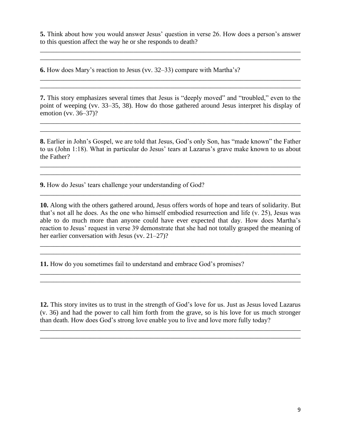**5.** Think about how you would answer Jesus' question in verse 26. How does a person's answer to this question affect the way he or she responds to death?

\_\_\_\_\_\_\_\_\_\_\_\_\_\_\_\_\_\_\_\_\_\_\_\_\_\_\_\_\_\_\_\_\_\_\_\_\_\_\_\_\_\_\_\_\_\_\_\_\_\_\_\_\_\_\_\_\_\_\_\_\_\_\_\_\_\_\_\_\_\_\_\_\_\_\_\_\_\_ \_\_\_\_\_\_\_\_\_\_\_\_\_\_\_\_\_\_\_\_\_\_\_\_\_\_\_\_\_\_\_\_\_\_\_\_\_\_\_\_\_\_\_\_\_\_\_\_\_\_\_\_\_\_\_\_\_\_\_\_\_\_\_\_\_\_\_\_\_\_\_\_\_\_\_\_\_\_

\_\_\_\_\_\_\_\_\_\_\_\_\_\_\_\_\_\_\_\_\_\_\_\_\_\_\_\_\_\_\_\_\_\_\_\_\_\_\_\_\_\_\_\_\_\_\_\_\_\_\_\_\_\_\_\_\_\_\_\_\_\_\_\_\_\_\_\_\_\_\_\_\_\_\_\_\_\_ \_\_\_\_\_\_\_\_\_\_\_\_\_\_\_\_\_\_\_\_\_\_\_\_\_\_\_\_\_\_\_\_\_\_\_\_\_\_\_\_\_\_\_\_\_\_\_\_\_\_\_\_\_\_\_\_\_\_\_\_\_\_\_\_\_\_\_\_\_\_\_\_\_\_\_\_\_\_

**6.** How does Mary's reaction to Jesus (vv. 32–33) compare with Martha's?

**7.** This story emphasizes several times that Jesus is "deeply moved" and "troubled," even to the point of weeping (vv. 33–35, 38). How do those gathered around Jesus interpret his display of emotion (vv. 36–37)?

\_\_\_\_\_\_\_\_\_\_\_\_\_\_\_\_\_\_\_\_\_\_\_\_\_\_\_\_\_\_\_\_\_\_\_\_\_\_\_\_\_\_\_\_\_\_\_\_\_\_\_\_\_\_\_\_\_\_\_\_\_\_\_\_\_\_\_\_\_\_\_\_\_\_\_\_\_\_ \_\_\_\_\_\_\_\_\_\_\_\_\_\_\_\_\_\_\_\_\_\_\_\_\_\_\_\_\_\_\_\_\_\_\_\_\_\_\_\_\_\_\_\_\_\_\_\_\_\_\_\_\_\_\_\_\_\_\_\_\_\_\_\_\_\_\_\_\_\_\_\_\_\_\_\_\_\_

**8.** Earlier in John's Gospel, we are told that Jesus, God's only Son, has "made known" the Father to us (John 1:18). What in particular do Jesus' tears at Lazarus's grave make known to us about the Father?

\_\_\_\_\_\_\_\_\_\_\_\_\_\_\_\_\_\_\_\_\_\_\_\_\_\_\_\_\_\_\_\_\_\_\_\_\_\_\_\_\_\_\_\_\_\_\_\_\_\_\_\_\_\_\_\_\_\_\_\_\_\_\_\_\_\_\_\_\_\_\_\_\_\_\_\_\_\_ \_\_\_\_\_\_\_\_\_\_\_\_\_\_\_\_\_\_\_\_\_\_\_\_\_\_\_\_\_\_\_\_\_\_\_\_\_\_\_\_\_\_\_\_\_\_\_\_\_\_\_\_\_\_\_\_\_\_\_\_\_\_\_\_\_\_\_\_\_\_\_\_\_\_\_\_\_\_

\_\_\_\_\_\_\_\_\_\_\_\_\_\_\_\_\_\_\_\_\_\_\_\_\_\_\_\_\_\_\_\_\_\_\_\_\_\_\_\_\_\_\_\_\_\_\_\_\_\_\_\_\_\_\_\_\_\_\_\_\_\_\_\_\_\_\_\_\_\_\_\_\_\_\_\_\_\_

**9.** How do Jesus' tears challenge your understanding of God?

**10.** Along with the others gathered around, Jesus offers words of hope and tears of solidarity. But that's not all he does. As the one who himself embodied resurrection and life (v. 25), Jesus was able to do much more than anyone could have ever expected that day. How does Martha's reaction to Jesus' request in verse 39 demonstrate that she had not totally grasped the meaning of her earlier conversation with Jesus (vv. 21–27)?

\_\_\_\_\_\_\_\_\_\_\_\_\_\_\_\_\_\_\_\_\_\_\_\_\_\_\_\_\_\_\_\_\_\_\_\_\_\_\_\_\_\_\_\_\_\_\_\_\_\_\_\_\_\_\_\_\_\_\_\_\_\_\_\_\_\_\_\_\_\_\_\_\_\_\_\_\_\_ \_\_\_\_\_\_\_\_\_\_\_\_\_\_\_\_\_\_\_\_\_\_\_\_\_\_\_\_\_\_\_\_\_\_\_\_\_\_\_\_\_\_\_\_\_\_\_\_\_\_\_\_\_\_\_\_\_\_\_\_\_\_\_\_\_\_\_\_\_\_\_\_\_\_\_\_\_\_

\_\_\_\_\_\_\_\_\_\_\_\_\_\_\_\_\_\_\_\_\_\_\_\_\_\_\_\_\_\_\_\_\_\_\_\_\_\_\_\_\_\_\_\_\_\_\_\_\_\_\_\_\_\_\_\_\_\_\_\_\_\_\_\_\_\_\_\_\_\_\_\_\_\_\_\_\_\_

**11.** How do you sometimes fail to understand and embrace God's promises?

**12.** This story invites us to trust in the strength of God's love for us. Just as Jesus loved Lazarus (v. 36) and had the power to call him forth from the grave, so is his love for us much stronger than death. How does God's strong love enable you to live and love more fully today?

\_\_\_\_\_\_\_\_\_\_\_\_\_\_\_\_\_\_\_\_\_\_\_\_\_\_\_\_\_\_\_\_\_\_\_\_\_\_\_\_\_\_\_\_\_\_\_\_\_\_\_\_\_\_\_\_\_\_\_\_\_\_\_\_\_\_\_\_\_\_\_\_\_\_\_\_\_\_ \_\_\_\_\_\_\_\_\_\_\_\_\_\_\_\_\_\_\_\_\_\_\_\_\_\_\_\_\_\_\_\_\_\_\_\_\_\_\_\_\_\_\_\_\_\_\_\_\_\_\_\_\_\_\_\_\_\_\_\_\_\_\_\_\_\_\_\_\_\_\_\_\_\_\_\_\_\_

\_\_\_\_\_\_\_\_\_\_\_\_\_\_\_\_\_\_\_\_\_\_\_\_\_\_\_\_\_\_\_\_\_\_\_\_\_\_\_\_\_\_\_\_\_\_\_\_\_\_\_\_\_\_\_\_\_\_\_\_\_\_\_\_\_\_\_\_\_\_\_\_\_\_\_\_\_\_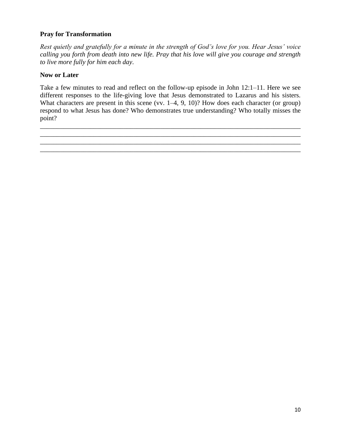#### **Pray for Transformation**

*Rest quietly and gratefully for a minute in the strength of God's love for you. Hear Jesus' voice calling you forth from death into new life. Pray that his love will give you courage and strength to live more fully for him each day*.

#### **Now or Later**

Take a few minutes to read and reflect on the follow-up episode in John 12:1–11. Here we see different responses to the life-giving love that Jesus demonstrated to Lazarus and his sisters. What characters are present in this scene (vv. 1–4, 9, 10)? How does each character (or group) respond to what Jesus has done? Who demonstrates true understanding? Who totally misses the point?

\_\_\_\_\_\_\_\_\_\_\_\_\_\_\_\_\_\_\_\_\_\_\_\_\_\_\_\_\_\_\_\_\_\_\_\_\_\_\_\_\_\_\_\_\_\_\_\_\_\_\_\_\_\_\_\_\_\_\_\_\_\_\_\_\_\_\_\_\_\_\_\_\_\_\_\_\_\_ \_\_\_\_\_\_\_\_\_\_\_\_\_\_\_\_\_\_\_\_\_\_\_\_\_\_\_\_\_\_\_\_\_\_\_\_\_\_\_\_\_\_\_\_\_\_\_\_\_\_\_\_\_\_\_\_\_\_\_\_\_\_\_\_\_\_\_\_\_\_\_\_\_\_\_\_\_\_ \_\_\_\_\_\_\_\_\_\_\_\_\_\_\_\_\_\_\_\_\_\_\_\_\_\_\_\_\_\_\_\_\_\_\_\_\_\_\_\_\_\_\_\_\_\_\_\_\_\_\_\_\_\_\_\_\_\_\_\_\_\_\_\_\_\_\_\_\_\_\_\_\_\_\_\_\_\_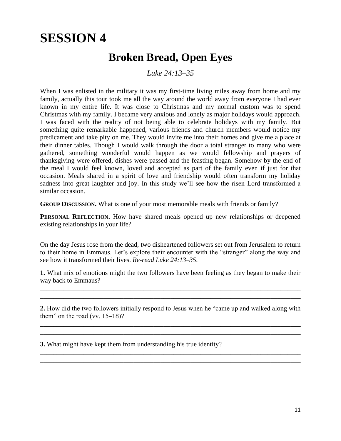### **Broken Bread, Open Eyes**

*Luke 24:13–35*

When I was enlisted in the military it was my first-time living miles away from home and my family, actually this tour took me all the way around the world away from everyone I had ever known in my entire life. It was close to Christmas and my normal custom was to spend Christmas with my family. I became very anxious and lonely as major holidays would approach. I was faced with the reality of not being able to celebrate holidays with my family. But something quite remarkable happened, various friends and church members would notice my predicament and take pity on me. They would invite me into their homes and give me a place at their dinner tables. Though I would walk through the door a total stranger to many who were gathered, something wonderful would happen as we would fellowship and prayers of thanksgiving were offered, dishes were passed and the feasting began. Somehow by the end of the meal I would feel known, loved and accepted as part of the family even if just for that occasion. Meals shared in a spirit of love and friendship would often transform my holiday sadness into great laughter and joy. In this study we'll see how the risen Lord transformed a similar occasion.

**GROUP DISCUSSION.** What is one of your most memorable meals with friends or family?

**PERSONAL REFLECTION.** How have shared meals opened up new relationships or deepened existing relationships in your life?

On the day Jesus rose from the dead, two disheartened followers set out from Jerusalem to return to their home in Emmaus. Let's explore their encounter with the "stranger" along the way and see how it transformed their lives. *Re-read Luke 24:13–35*.

**1.** What mix of emotions might the two followers have been feeling as they began to make their way back to Emmaus?

\_\_\_\_\_\_\_\_\_\_\_\_\_\_\_\_\_\_\_\_\_\_\_\_\_\_\_\_\_\_\_\_\_\_\_\_\_\_\_\_\_\_\_\_\_\_\_\_\_\_\_\_\_\_\_\_\_\_\_\_\_\_\_\_\_\_\_\_\_\_\_\_\_\_\_\_\_\_ \_\_\_\_\_\_\_\_\_\_\_\_\_\_\_\_\_\_\_\_\_\_\_\_\_\_\_\_\_\_\_\_\_\_\_\_\_\_\_\_\_\_\_\_\_\_\_\_\_\_\_\_\_\_\_\_\_\_\_\_\_\_\_\_\_\_\_\_\_\_\_\_\_\_\_\_\_\_

**2.** How did the two followers initially respond to Jesus when he "came up and walked along with them" on the road (vv. 15–18)?

\_\_\_\_\_\_\_\_\_\_\_\_\_\_\_\_\_\_\_\_\_\_\_\_\_\_\_\_\_\_\_\_\_\_\_\_\_\_\_\_\_\_\_\_\_\_\_\_\_\_\_\_\_\_\_\_\_\_\_\_\_\_\_\_\_\_\_\_\_\_\_\_\_\_\_\_\_\_ \_\_\_\_\_\_\_\_\_\_\_\_\_\_\_\_\_\_\_\_\_\_\_\_\_\_\_\_\_\_\_\_\_\_\_\_\_\_\_\_\_\_\_\_\_\_\_\_\_\_\_\_\_\_\_\_\_\_\_\_\_\_\_\_\_\_\_\_\_\_\_\_\_\_\_\_\_\_

\_\_\_\_\_\_\_\_\_\_\_\_\_\_\_\_\_\_\_\_\_\_\_\_\_\_\_\_\_\_\_\_\_\_\_\_\_\_\_\_\_\_\_\_\_\_\_\_\_\_\_\_\_\_\_\_\_\_\_\_\_\_\_\_\_\_\_\_\_\_\_\_\_\_\_\_\_\_ \_\_\_\_\_\_\_\_\_\_\_\_\_\_\_\_\_\_\_\_\_\_\_\_\_\_\_\_\_\_\_\_\_\_\_\_\_\_\_\_\_\_\_\_\_\_\_\_\_\_\_\_\_\_\_\_\_\_\_\_\_\_\_\_\_\_\_\_\_\_\_\_\_\_\_\_\_\_

**3.** What might have kept them from understanding his true identity?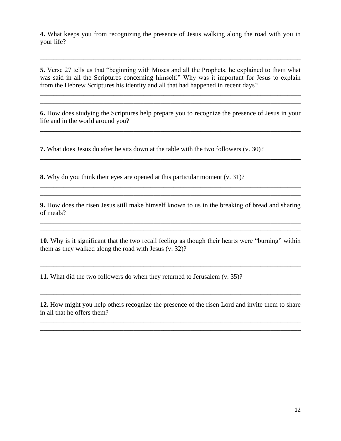**4.** What keeps you from recognizing the presence of Jesus walking along the road with you in your life?

\_\_\_\_\_\_\_\_\_\_\_\_\_\_\_\_\_\_\_\_\_\_\_\_\_\_\_\_\_\_\_\_\_\_\_\_\_\_\_\_\_\_\_\_\_\_\_\_\_\_\_\_\_\_\_\_\_\_\_\_\_\_\_\_\_\_\_\_\_\_\_\_\_\_\_\_\_\_ \_\_\_\_\_\_\_\_\_\_\_\_\_\_\_\_\_\_\_\_\_\_\_\_\_\_\_\_\_\_\_\_\_\_\_\_\_\_\_\_\_\_\_\_\_\_\_\_\_\_\_\_\_\_\_\_\_\_\_\_\_\_\_\_\_\_\_\_\_\_\_\_\_\_\_\_\_\_

**5.** Verse 27 tells us that "beginning with Moses and all the Prophets, he explained to them what was said in all the Scriptures concerning himself." Why was it important for Jesus to explain from the Hebrew Scriptures his identity and all that had happened in recent days?

 $\mathcal{L}_\mathcal{L} = \{ \mathcal{L}_\mathcal{L} = \{ \mathcal{L}_\mathcal{L} = \{ \mathcal{L}_\mathcal{L} = \{ \mathcal{L}_\mathcal{L} = \{ \mathcal{L}_\mathcal{L} = \{ \mathcal{L}_\mathcal{L} = \{ \mathcal{L}_\mathcal{L} = \{ \mathcal{L}_\mathcal{L} = \{ \mathcal{L}_\mathcal{L} = \{ \mathcal{L}_\mathcal{L} = \{ \mathcal{L}_\mathcal{L} = \{ \mathcal{L}_\mathcal{L} = \{ \mathcal{L}_\mathcal{L} = \{ \mathcal{L}_\mathcal{$ \_\_\_\_\_\_\_\_\_\_\_\_\_\_\_\_\_\_\_\_\_\_\_\_\_\_\_\_\_\_\_\_\_\_\_\_\_\_\_\_\_\_\_\_\_\_\_\_\_\_\_\_\_\_\_\_\_\_\_\_\_\_\_\_\_\_\_\_\_\_\_\_\_\_\_\_\_\_

**6.** How does studying the Scriptures help prepare you to recognize the presence of Jesus in your life and in the world around you?

\_\_\_\_\_\_\_\_\_\_\_\_\_\_\_\_\_\_\_\_\_\_\_\_\_\_\_\_\_\_\_\_\_\_\_\_\_\_\_\_\_\_\_\_\_\_\_\_\_\_\_\_\_\_\_\_\_\_\_\_\_\_\_\_\_\_\_\_\_\_\_\_\_\_\_\_\_\_ \_\_\_\_\_\_\_\_\_\_\_\_\_\_\_\_\_\_\_\_\_\_\_\_\_\_\_\_\_\_\_\_\_\_\_\_\_\_\_\_\_\_\_\_\_\_\_\_\_\_\_\_\_\_\_\_\_\_\_\_\_\_\_\_\_\_\_\_\_\_\_\_\_\_\_\_\_\_

\_\_\_\_\_\_\_\_\_\_\_\_\_\_\_\_\_\_\_\_\_\_\_\_\_\_\_\_\_\_\_\_\_\_\_\_\_\_\_\_\_\_\_\_\_\_\_\_\_\_\_\_\_\_\_\_\_\_\_\_\_\_\_\_\_\_\_\_\_\_\_\_\_\_\_\_\_\_ \_\_\_\_\_\_\_\_\_\_\_\_\_\_\_\_\_\_\_\_\_\_\_\_\_\_\_\_\_\_\_\_\_\_\_\_\_\_\_\_\_\_\_\_\_\_\_\_\_\_\_\_\_\_\_\_\_\_\_\_\_\_\_\_\_\_\_\_\_\_\_\_\_\_\_\_\_\_

**7.** What does Jesus do after he sits down at the table with the two followers (v. 30)?

**8.** Why do you think their eyes are opened at this particular moment (v. 31)?

**9.** How does the risen Jesus still make himself known to us in the breaking of bread and sharing of meals?

\_\_\_\_\_\_\_\_\_\_\_\_\_\_\_\_\_\_\_\_\_\_\_\_\_\_\_\_\_\_\_\_\_\_\_\_\_\_\_\_\_\_\_\_\_\_\_\_\_\_\_\_\_\_\_\_\_\_\_\_\_\_\_\_\_\_\_\_\_\_\_\_\_\_\_\_\_\_ \_\_\_\_\_\_\_\_\_\_\_\_\_\_\_\_\_\_\_\_\_\_\_\_\_\_\_\_\_\_\_\_\_\_\_\_\_\_\_\_\_\_\_\_\_\_\_\_\_\_\_\_\_\_\_\_\_\_\_\_\_\_\_\_\_\_\_\_\_\_\_\_\_\_\_\_\_\_

\_\_\_\_\_\_\_\_\_\_\_\_\_\_\_\_\_\_\_\_\_\_\_\_\_\_\_\_\_\_\_\_\_\_\_\_\_\_\_\_\_\_\_\_\_\_\_\_\_\_\_\_\_\_\_\_\_\_\_\_\_\_\_\_\_\_\_\_\_\_\_\_\_\_\_\_\_\_ \_\_\_\_\_\_\_\_\_\_\_\_\_\_\_\_\_\_\_\_\_\_\_\_\_\_\_\_\_\_\_\_\_\_\_\_\_\_\_\_\_\_\_\_\_\_\_\_\_\_\_\_\_\_\_\_\_\_\_\_\_\_\_\_\_\_\_\_\_\_\_\_\_\_\_\_\_\_

**10.** Why is it significant that the two recall feeling as though their hearts were "burning" within them as they walked along the road with Jesus (v. 32)?

 $\_$  ,  $\_$  ,  $\_$  ,  $\_$  ,  $\_$  ,  $\_$  ,  $\_$  ,  $\_$  ,  $\_$  ,  $\_$  ,  $\_$  ,  $\_$  ,  $\_$  ,  $\_$  ,  $\_$  ,  $\_$  ,  $\_$  ,  $\_$  ,  $\_$  ,  $\_$  ,  $\_$  ,  $\_$  ,  $\_$  ,  $\_$  ,  $\_$  ,  $\_$  ,  $\_$  ,  $\_$  ,  $\_$  ,  $\_$  ,  $\_$  ,  $\_$  ,  $\_$  ,  $\_$  ,  $\_$  ,  $\_$  ,  $\_$  ,

**11.** What did the two followers do when they returned to Jerusalem (v. 35)?

**12.** How might you help others recognize the presence of the risen Lord and invite them to share in all that he offers them?

\_\_\_\_\_\_\_\_\_\_\_\_\_\_\_\_\_\_\_\_\_\_\_\_\_\_\_\_\_\_\_\_\_\_\_\_\_\_\_\_\_\_\_\_\_\_\_\_\_\_\_\_\_\_\_\_\_\_\_\_\_\_\_\_\_\_\_\_\_\_\_\_\_\_\_\_\_\_ \_\_\_\_\_\_\_\_\_\_\_\_\_\_\_\_\_\_\_\_\_\_\_\_\_\_\_\_\_\_\_\_\_\_\_\_\_\_\_\_\_\_\_\_\_\_\_\_\_\_\_\_\_\_\_\_\_\_\_\_\_\_\_\_\_\_\_\_\_\_\_\_\_\_\_\_\_\_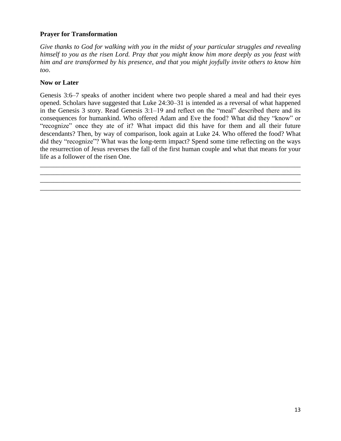#### **Prayer for Transformation**

*Give thanks to God for walking with you in the midst of your particular struggles and revealing himself to you as the risen Lord. Pray that you might know him more deeply as you feast with him and are transformed by his presence, and that you might joyfully invite others to know him too*.

#### **Now or Later**

Genesis 3:6–7 speaks of another incident where two people shared a meal and had their eyes opened. Scholars have suggested that Luke 24:30–31 is intended as a reversal of what happened in the Genesis 3 story. Read Genesis 3:1–19 and reflect on the "meal" described there and its consequences for humankind. Who offered Adam and Eve the food? What did they "know" or "recognize" once they ate of it? What impact did this have for them and all their future descendants? Then, by way of comparison, look again at Luke 24. Who offered the food? What did they "recognize"? What was the long-term impact? Spend some time reflecting on the ways the resurrection of Jesus reverses the fall of the first human couple and what that means for your life as a follower of the risen One.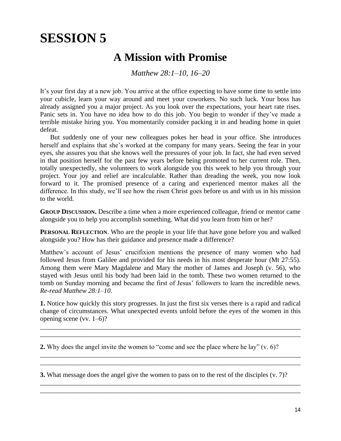### **A Mission with Promise**

*Matthew 28:1–10, 16–20*

It's your first day at a new job. You arrive at the office expecting to have some time to settle into your cubicle, learn your way around and meet your coworkers. No such luck. Your boss has already assigned you a major project. As you look over the expectations, your heart rate rises. Panic sets in. You have no idea how to do this job. You begin to wonder if they've made a terrible mistake hiring you. You momentarily consider packing it in and heading home in quiet defeat.

But suddenly one of your new colleagues pokes her head in your office. She introduces herself and explains that she's worked at the company for many years. Seeing the fear in your eyes, she assures you that she knows well the pressures of your job. In fact, she had even served in that position herself for the past few years before being promoted to her current role. Then, totally unexpectedly, she volunteers to work alongside you this week to help you through your project. Your joy and relief are incalculable. Rather than dreading the week, you now look forward to it. The promised presence of a caring and experienced mentor makes all the difference. In this study, we'll see how the risen Christ goes before us and with us in his mission to the world.

**GROUP DISCUSSION.** Describe a time when a more experienced colleague, friend or mentor came alongside you to help you accomplish something. What did you learn from him or her?

**PERSONAL REFLECTION.** Who are the people in your life that have gone before you and walked alongside you? How has their guidance and presence made a difference?

Matthew's account of Jesus' crucifixion mentions the presence of many women who had followed Jesus from Galilee and provided for his needs in his most desperate hour (Mt 27:55). Among them were Mary Magdalene and Mary the mother of James and Joseph (v. 56), who stayed with Jesus until his body had been laid in the tomb. These two women returned to the tomb on Sunday morning and became the first of Jesus' followers to learn the incredible news. *Re-read Matthew 28:1–10*.

**1.** Notice how quickly this story progresses. In just the first six verses there is a rapid and radical change of circumstances. What unexpected events unfold before the eyes of the women in this opening scene (vv. 1–6)?

\_\_\_\_\_\_\_\_\_\_\_\_\_\_\_\_\_\_\_\_\_\_\_\_\_\_\_\_\_\_\_\_\_\_\_\_\_\_\_\_\_\_\_\_\_\_\_\_\_\_\_\_\_\_\_\_\_\_\_\_\_\_\_\_\_\_\_\_\_\_\_\_\_\_\_\_\_\_ \_\_\_\_\_\_\_\_\_\_\_\_\_\_\_\_\_\_\_\_\_\_\_\_\_\_\_\_\_\_\_\_\_\_\_\_\_\_\_\_\_\_\_\_\_\_\_\_\_\_\_\_\_\_\_\_\_\_\_\_\_\_\_\_\_\_\_\_\_\_\_\_\_\_\_\_\_\_

\_\_\_\_\_\_\_\_\_\_\_\_\_\_\_\_\_\_\_\_\_\_\_\_\_\_\_\_\_\_\_\_\_\_\_\_\_\_\_\_\_\_\_\_\_\_\_\_\_\_\_\_\_\_\_\_\_\_\_\_\_\_\_\_\_\_\_\_\_\_\_\_\_\_\_\_\_\_ \_\_\_\_\_\_\_\_\_\_\_\_\_\_\_\_\_\_\_\_\_\_\_\_\_\_\_\_\_\_\_\_\_\_\_\_\_\_\_\_\_\_\_\_\_\_\_\_\_\_\_\_\_\_\_\_\_\_\_\_\_\_\_\_\_\_\_\_\_\_\_\_\_\_\_\_\_\_

\_\_\_\_\_\_\_\_\_\_\_\_\_\_\_\_\_\_\_\_\_\_\_\_\_\_\_\_\_\_\_\_\_\_\_\_\_\_\_\_\_\_\_\_\_\_\_\_\_\_\_\_\_\_\_\_\_\_\_\_\_\_\_\_\_\_\_\_\_\_\_\_\_\_\_\_\_\_ \_\_\_\_\_\_\_\_\_\_\_\_\_\_\_\_\_\_\_\_\_\_\_\_\_\_\_\_\_\_\_\_\_\_\_\_\_\_\_\_\_\_\_\_\_\_\_\_\_\_\_\_\_\_\_\_\_\_\_\_\_\_\_\_\_\_\_\_\_\_\_\_\_\_\_\_\_\_

**2.** Why does the angel invite the women to "come and see the place where he lay" (v. 6)?

**3.** What message does the angel give the women to pass on to the rest of the disciples (v. 7)?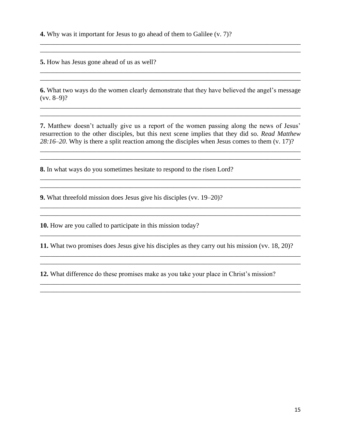**4.** Why was it important for Jesus to go ahead of them to Galilee (v. 7)?

**5.** How has Jesus gone ahead of us as well?

**6.** What two ways do the women clearly demonstrate that they have believed the angel's message  $(vv. 8-9)?$ 

\_\_\_\_\_\_\_\_\_\_\_\_\_\_\_\_\_\_\_\_\_\_\_\_\_\_\_\_\_\_\_\_\_\_\_\_\_\_\_\_\_\_\_\_\_\_\_\_\_\_\_\_\_\_\_\_\_\_\_\_\_\_\_\_\_\_\_\_\_\_\_\_\_\_\_\_\_\_ \_\_\_\_\_\_\_\_\_\_\_\_\_\_\_\_\_\_\_\_\_\_\_\_\_\_\_\_\_\_\_\_\_\_\_\_\_\_\_\_\_\_\_\_\_\_\_\_\_\_\_\_\_\_\_\_\_\_\_\_\_\_\_\_\_\_\_\_\_\_\_\_\_\_\_\_\_\_

\_\_\_\_\_\_\_\_\_\_\_\_\_\_\_\_\_\_\_\_\_\_\_\_\_\_\_\_\_\_\_\_\_\_\_\_\_\_\_\_\_\_\_\_\_\_\_\_\_\_\_\_\_\_\_\_\_\_\_\_\_\_\_\_\_\_\_\_\_\_\_\_\_\_\_\_\_\_

\_\_\_\_\_\_\_\_\_\_\_\_\_\_\_\_\_\_\_\_\_\_\_\_\_\_\_\_\_\_\_\_\_\_\_\_\_\_\_\_\_\_\_\_\_\_\_\_\_\_\_\_\_\_\_\_\_\_\_\_\_\_\_\_\_\_\_\_\_\_\_\_\_\_\_\_\_\_ \_\_\_\_\_\_\_\_\_\_\_\_\_\_\_\_\_\_\_\_\_\_\_\_\_\_\_\_\_\_\_\_\_\_\_\_\_\_\_\_\_\_\_\_\_\_\_\_\_\_\_\_\_\_\_\_\_\_\_\_\_\_\_\_\_\_\_\_\_\_\_\_\_\_\_\_\_\_

**7.** Matthew doesn't actually give us a report of the women passing along the news of Jesus' resurrection to the other disciples, but this next scene implies that they did so. *Read Matthew 28:16–20*. Why is there a split reaction among the disciples when Jesus comes to them (v. 17)?

\_\_\_\_\_\_\_\_\_\_\_\_\_\_\_\_\_\_\_\_\_\_\_\_\_\_\_\_\_\_\_\_\_\_\_\_\_\_\_\_\_\_\_\_\_\_\_\_\_\_\_\_\_\_\_\_\_\_\_\_\_\_\_\_\_\_\_\_\_\_\_\_\_\_\_\_\_\_

\_\_\_\_\_\_\_\_\_\_\_\_\_\_\_\_\_\_\_\_\_\_\_\_\_\_\_\_\_\_\_\_\_\_\_\_\_\_\_\_\_\_\_\_\_\_\_\_\_\_\_\_\_\_\_\_\_\_\_\_\_\_\_\_\_\_\_\_\_\_\_\_\_\_\_\_\_\_

\_\_\_\_\_\_\_\_\_\_\_\_\_\_\_\_\_\_\_\_\_\_\_\_\_\_\_\_\_\_\_\_\_\_\_\_\_\_\_\_\_\_\_\_\_\_\_\_\_\_\_\_\_\_\_\_\_\_\_\_\_\_\_\_\_\_\_\_\_\_\_\_\_\_\_\_\_\_

\_\_\_\_\_\_\_\_\_\_\_\_\_\_\_\_\_\_\_\_\_\_\_\_\_\_\_\_\_\_\_\_\_\_\_\_\_\_\_\_\_\_\_\_\_\_\_\_\_\_\_\_\_\_\_\_\_\_\_\_\_\_\_\_\_\_\_\_\_\_\_\_\_\_\_\_\_\_ \_\_\_\_\_\_\_\_\_\_\_\_\_\_\_\_\_\_\_\_\_\_\_\_\_\_\_\_\_\_\_\_\_\_\_\_\_\_\_\_\_\_\_\_\_\_\_\_\_\_\_\_\_\_\_\_\_\_\_\_\_\_\_\_\_\_\_\_\_\_\_\_\_\_\_\_\_\_

 $\mathcal{L}_\mathcal{L} = \{ \mathcal{L}_\mathcal{L} = \{ \mathcal{L}_\mathcal{L} = \{ \mathcal{L}_\mathcal{L} = \{ \mathcal{L}_\mathcal{L} = \{ \mathcal{L}_\mathcal{L} = \{ \mathcal{L}_\mathcal{L} = \{ \mathcal{L}_\mathcal{L} = \{ \mathcal{L}_\mathcal{L} = \{ \mathcal{L}_\mathcal{L} = \{ \mathcal{L}_\mathcal{L} = \{ \mathcal{L}_\mathcal{L} = \{ \mathcal{L}_\mathcal{L} = \{ \mathcal{L}_\mathcal{L} = \{ \mathcal{L}_\mathcal{$ 

\_\_\_\_\_\_\_\_\_\_\_\_\_\_\_\_\_\_\_\_\_\_\_\_\_\_\_\_\_\_\_\_\_\_\_\_\_\_\_\_\_\_\_\_\_\_\_\_\_\_\_\_\_\_\_\_\_\_\_\_\_\_\_\_\_\_\_\_\_\_\_\_\_\_\_\_\_\_

 $\overline{\phantom{a}}$  ,  $\overline{\phantom{a}}$  ,  $\overline{\phantom{a}}$  ,  $\overline{\phantom{a}}$  ,  $\overline{\phantom{a}}$  ,  $\overline{\phantom{a}}$  ,  $\overline{\phantom{a}}$  ,  $\overline{\phantom{a}}$  ,  $\overline{\phantom{a}}$  ,  $\overline{\phantom{a}}$  ,  $\overline{\phantom{a}}$  ,  $\overline{\phantom{a}}$  ,  $\overline{\phantom{a}}$  ,  $\overline{\phantom{a}}$  ,  $\overline{\phantom{a}}$  ,  $\overline{\phantom{a}}$ \_\_\_\_\_\_\_\_\_\_\_\_\_\_\_\_\_\_\_\_\_\_\_\_\_\_\_\_\_\_\_\_\_\_\_\_\_\_\_\_\_\_\_\_\_\_\_\_\_\_\_\_\_\_\_\_\_\_\_\_\_\_\_\_\_\_\_\_\_\_\_\_\_\_\_\_\_\_

**8.** In what ways do you sometimes hesitate to respond to the risen Lord?

**9.** What threefold mission does Jesus give his disciples (vv. 19–20)?

**10.** How are you called to participate in this mission today?

**11.** What two promises does Jesus give his disciples as they carry out his mission (vv. 18, 20)? \_\_\_\_\_\_\_\_\_\_\_\_\_\_\_\_\_\_\_\_\_\_\_\_\_\_\_\_\_\_\_\_\_\_\_\_\_\_\_\_\_\_\_\_\_\_\_\_\_\_\_\_\_\_\_\_\_\_\_\_\_\_\_\_\_\_\_\_\_\_\_\_\_\_\_\_\_\_

**12.** What difference do these promises make as you take your place in Christ's mission?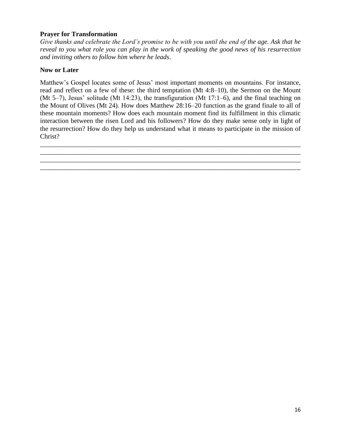#### **Prayer for Transformation**

*Give thanks and celebrate the Lord's promise to be with you until the end of the age. Ask that he reveal to you what role you can play in the work of speaking the good news of his resurrection and inviting others to follow him where he leads*.

#### **Now or Later**

Matthew's Gospel locates some of Jesus' most important moments on mountains. For instance, read and reflect on a few of these: the third temptation (Mt 4:8–10), the Sermon on the Mount (Mt 5–7), Jesus' solitude (Mt 14:23), the transfiguration (Mt 17:1–6), and the final teaching on the Mount of Olives (Mt 24). How does Matthew 28:16–20 function as the grand finale to all of these mountain moments? How does each mountain moment find its fulfillment in this climatic interaction between the risen Lord and his followers? How do they make sense only in light of the resurrection? How do they help us understand what it means to participate in the mission of Christ?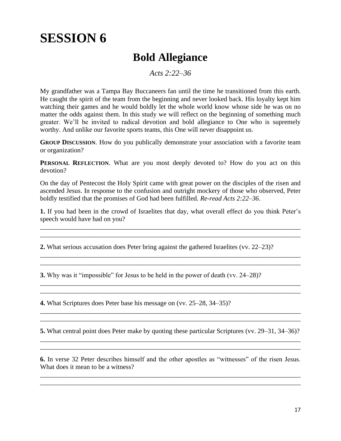## **Bold Allegiance**

*Acts 2:22–36*

My grandfather was a Tampa Bay Buccaneers fan until the time he transitioned from this earth. He caught the spirit of the team from the beginning and never looked back. His loyalty kept him watching their games and he would boldly let the whole world know whose side he was on no matter the odds against them. In this study we will reflect on the beginning of something much greater. We'll be invited to radical devotion and bold allegiance to One who is supremely worthy. And unlike our favorite sports teams, this One will never disappoint us.

**GROUP DISCUSSION**. How do you publically demonstrate your association with a favorite team or organization?

**PERSONAL REFLECTION.** What are you most deeply devoted to? How do you act on this devotion?

On the day of Pentecost the Holy Spirit came with great power on the disciples of the risen and ascended Jesus. In response to the confusion and outright mockery of those who observed, Peter boldly testified that the promises of God had been fulfilled. *Re-read Acts 2:22–36*.

**1.** If you had been in the crowd of Israelites that day, what overall effect do you think Peter's speech would have had on you?

\_\_\_\_\_\_\_\_\_\_\_\_\_\_\_\_\_\_\_\_\_\_\_\_\_\_\_\_\_\_\_\_\_\_\_\_\_\_\_\_\_\_\_\_\_\_\_\_\_\_\_\_\_\_\_\_\_\_\_\_\_\_\_\_\_\_\_\_\_\_\_\_\_\_\_\_\_\_ \_\_\_\_\_\_\_\_\_\_\_\_\_\_\_\_\_\_\_\_\_\_\_\_\_\_\_\_\_\_\_\_\_\_\_\_\_\_\_\_\_\_\_\_\_\_\_\_\_\_\_\_\_\_\_\_\_\_\_\_\_\_\_\_\_\_\_\_\_\_\_\_\_\_\_\_\_\_

\_\_\_\_\_\_\_\_\_\_\_\_\_\_\_\_\_\_\_\_\_\_\_\_\_\_\_\_\_\_\_\_\_\_\_\_\_\_\_\_\_\_\_\_\_\_\_\_\_\_\_\_\_\_\_\_\_\_\_\_\_\_\_\_\_\_\_\_\_\_\_\_\_\_\_\_\_\_ \_\_\_\_\_\_\_\_\_\_\_\_\_\_\_\_\_\_\_\_\_\_\_\_\_\_\_\_\_\_\_\_\_\_\_\_\_\_\_\_\_\_\_\_\_\_\_\_\_\_\_\_\_\_\_\_\_\_\_\_\_\_\_\_\_\_\_\_\_\_\_\_\_\_\_\_\_\_

\_\_\_\_\_\_\_\_\_\_\_\_\_\_\_\_\_\_\_\_\_\_\_\_\_\_\_\_\_\_\_\_\_\_\_\_\_\_\_\_\_\_\_\_\_\_\_\_\_\_\_\_\_\_\_\_\_\_\_\_\_\_\_\_\_\_\_\_\_\_\_\_\_\_\_\_\_\_ \_\_\_\_\_\_\_\_\_\_\_\_\_\_\_\_\_\_\_\_\_\_\_\_\_\_\_\_\_\_\_\_\_\_\_\_\_\_\_\_\_\_\_\_\_\_\_\_\_\_\_\_\_\_\_\_\_\_\_\_\_\_\_\_\_\_\_\_\_\_\_\_\_\_\_\_\_\_

**2.** What serious accusation does Peter bring against the gathered Israelites (vv. 22–23)?

**3.** Why was it "impossible" for Jesus to be held in the power of death (vv. 24–28)?

**4.** What Scriptures does Peter base his message on (vv. 25–28, 34–35)?

**5.** What central point does Peter make by quoting these particular Scriptures (vv. 29–31, 34–36)? \_\_\_\_\_\_\_\_\_\_\_\_\_\_\_\_\_\_\_\_\_\_\_\_\_\_\_\_\_\_\_\_\_\_\_\_\_\_\_\_\_\_\_\_\_\_\_\_\_\_\_\_\_\_\_\_\_\_\_\_\_\_\_\_\_\_\_\_\_\_\_\_\_\_\_\_\_\_

\_\_\_\_\_\_\_\_\_\_\_\_\_\_\_\_\_\_\_\_\_\_\_\_\_\_\_\_\_\_\_\_\_\_\_\_\_\_\_\_\_\_\_\_\_\_\_\_\_\_\_\_\_\_\_\_\_\_\_\_\_\_\_\_\_\_\_\_\_\_\_\_\_\_\_\_\_\_

\_\_\_\_\_\_\_\_\_\_\_\_\_\_\_\_\_\_\_\_\_\_\_\_\_\_\_\_\_\_\_\_\_\_\_\_\_\_\_\_\_\_\_\_\_\_\_\_\_\_\_\_\_\_\_\_\_\_\_\_\_\_\_\_\_\_\_\_\_\_\_\_\_\_\_\_\_\_ \_\_\_\_\_\_\_\_\_\_\_\_\_\_\_\_\_\_\_\_\_\_\_\_\_\_\_\_\_\_\_\_\_\_\_\_\_\_\_\_\_\_\_\_\_\_\_\_\_\_\_\_\_\_\_\_\_\_\_\_\_\_\_\_\_\_\_\_\_\_\_\_\_\_\_\_\_\_

**6.** In verse 32 Peter describes himself and the other apostles as "witnesses" of the risen Jesus. What does it mean to be a witness?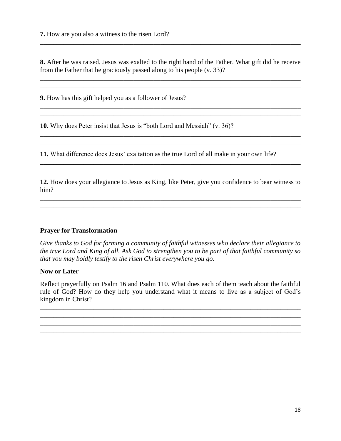**8.** After he was raised, Jesus was exalted to the right hand of the Father. What gift did he receive from the Father that he graciously passed along to his people (v. 33)?

\_\_\_\_\_\_\_\_\_\_\_\_\_\_\_\_\_\_\_\_\_\_\_\_\_\_\_\_\_\_\_\_\_\_\_\_\_\_\_\_\_\_\_\_\_\_\_\_\_\_\_\_\_\_\_\_\_\_\_\_\_\_\_\_\_\_\_\_\_\_\_\_\_\_\_\_\_\_ \_\_\_\_\_\_\_\_\_\_\_\_\_\_\_\_\_\_\_\_\_\_\_\_\_\_\_\_\_\_\_\_\_\_\_\_\_\_\_\_\_\_\_\_\_\_\_\_\_\_\_\_\_\_\_\_\_\_\_\_\_\_\_\_\_\_\_\_\_\_\_\_\_\_\_\_\_\_

\_\_\_\_\_\_\_\_\_\_\_\_\_\_\_\_\_\_\_\_\_\_\_\_\_\_\_\_\_\_\_\_\_\_\_\_\_\_\_\_\_\_\_\_\_\_\_\_\_\_\_\_\_\_\_\_\_\_\_\_\_\_\_\_\_\_\_\_\_\_\_\_\_\_\_\_\_\_ \_\_\_\_\_\_\_\_\_\_\_\_\_\_\_\_\_\_\_\_\_\_\_\_\_\_\_\_\_\_\_\_\_\_\_\_\_\_\_\_\_\_\_\_\_\_\_\_\_\_\_\_\_\_\_\_\_\_\_\_\_\_\_\_\_\_\_\_\_\_\_\_\_\_\_\_\_\_

\_\_\_\_\_\_\_\_\_\_\_\_\_\_\_\_\_\_\_\_\_\_\_\_\_\_\_\_\_\_\_\_\_\_\_\_\_\_\_\_\_\_\_\_\_\_\_\_\_\_\_\_\_\_\_\_\_\_\_\_\_\_\_\_\_\_\_\_\_\_\_\_\_\_\_\_\_\_

\_\_\_\_\_\_\_\_\_\_\_\_\_\_\_\_\_\_\_\_\_\_\_\_\_\_\_\_\_\_\_\_\_\_\_\_\_\_\_\_\_\_\_\_\_\_\_\_\_\_\_\_\_\_\_\_\_\_\_\_\_\_\_\_\_\_\_\_\_\_\_\_\_\_\_\_\_\_ \_\_\_\_\_\_\_\_\_\_\_\_\_\_\_\_\_\_\_\_\_\_\_\_\_\_\_\_\_\_\_\_\_\_\_\_\_\_\_\_\_\_\_\_\_\_\_\_\_\_\_\_\_\_\_\_\_\_\_\_\_\_\_\_\_\_\_\_\_\_\_\_\_\_\_\_\_\_

 $\mathcal{L}_\mathcal{L} = \{ \mathcal{L}_\mathcal{L} = \{ \mathcal{L}_\mathcal{L} = \{ \mathcal{L}_\mathcal{L} = \{ \mathcal{L}_\mathcal{L} = \{ \mathcal{L}_\mathcal{L} = \{ \mathcal{L}_\mathcal{L} = \{ \mathcal{L}_\mathcal{L} = \{ \mathcal{L}_\mathcal{L} = \{ \mathcal{L}_\mathcal{L} = \{ \mathcal{L}_\mathcal{L} = \{ \mathcal{L}_\mathcal{L} = \{ \mathcal{L}_\mathcal{L} = \{ \mathcal{L}_\mathcal{L} = \{ \mathcal{L}_\mathcal{$ 

\_\_\_\_\_\_\_\_\_\_\_\_\_\_\_\_\_\_\_\_\_\_\_\_\_\_\_\_\_\_\_\_\_\_\_\_\_\_\_\_\_\_\_\_\_\_\_\_\_\_\_\_\_\_\_\_\_\_\_\_\_\_\_\_\_\_\_\_\_\_\_\_\_\_\_\_\_\_ \_\_\_\_\_\_\_\_\_\_\_\_\_\_\_\_\_\_\_\_\_\_\_\_\_\_\_\_\_\_\_\_\_\_\_\_\_\_\_\_\_\_\_\_\_\_\_\_\_\_\_\_\_\_\_\_\_\_\_\_\_\_\_\_\_\_\_\_\_\_\_\_\_\_\_\_\_\_

**9.** How has this gift helped you as a follower of Jesus?

**10.** Why does Peter insist that Jesus is "both Lord and Messiah" (v. 36)?

**11.** What difference does Jesus' exaltation as the true Lord of all make in your own life?

**12.** How does your allegiance to Jesus as King, like Peter, give you confidence to bear witness to him?

\_\_\_\_\_\_\_\_\_\_\_\_\_\_\_\_\_\_\_\_\_\_\_\_\_\_\_\_\_\_\_\_\_\_\_\_\_\_\_\_\_\_\_\_\_\_\_\_\_\_\_\_\_\_\_\_\_\_\_\_\_\_\_\_\_\_\_\_\_\_\_\_\_\_\_\_\_\_ \_\_\_\_\_\_\_\_\_\_\_\_\_\_\_\_\_\_\_\_\_\_\_\_\_\_\_\_\_\_\_\_\_\_\_\_\_\_\_\_\_\_\_\_\_\_\_\_\_\_\_\_\_\_\_\_\_\_\_\_\_\_\_\_\_\_\_\_\_\_\_\_\_\_\_\_\_\_

#### **Prayer for Transformation**

*Give thanks to God for forming a community of faithful witnesses who declare their allegiance to the true Lord and King of all. Ask God to strengthen you to be part of that faithful community so that you may boldly testify to the risen Christ everywhere you go*.

#### **Now or Later**

Reflect prayerfully on Psalm 16 and Psalm 110. What does each of them teach about the faithful rule of God? How do they help you understand what it means to live as a subject of God's kingdom in Christ?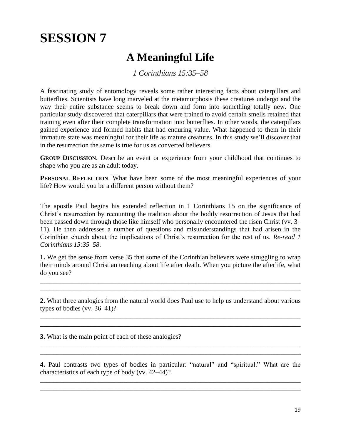## **A Meaningful Life**

*1 Corinthians 15:35–58*

A fascinating study of entomology reveals some rather interesting facts about caterpillars and butterflies. Scientists have long marveled at the metamorphosis these creatures undergo and the way their entire substance seems to break down and form into something totally new. One particular study discovered that caterpillars that were trained to avoid certain smells retained that training even after their complete transformation into butterflies. In other words, the caterpillars gained experience and formed habits that had enduring value. What happened to them in their immature state was meaningful for their life as mature creatures. In this study we'll discover that in the resurrection the same is true for us as converted believers.

**GROUP DISCUSSION**. Describe an event or experience from your childhood that continues to shape who you are as an adult today.

**PERSONAL REFLECTION.** What have been some of the most meaningful experiences of your life? How would you be a different person without them?

The apostle Paul begins his extended reflection in 1 Corinthians 15 on the significance of Christ's resurrection by recounting the tradition about the bodily resurrection of Jesus that had been passed down through those like himself who personally encountered the risen Christ (vv. 3– 11). He then addresses a number of questions and misunderstandings that had arisen in the Corinthian church about the implications of Christ's resurrection for the rest of us. *Re-read 1 Corinthians 15:35–58*.

**1.** We get the sense from verse 35 that some of the Corinthian believers were struggling to wrap their minds around Christian teaching about life after death. When you picture the afterlife, what do you see?

\_\_\_\_\_\_\_\_\_\_\_\_\_\_\_\_\_\_\_\_\_\_\_\_\_\_\_\_\_\_\_\_\_\_\_\_\_\_\_\_\_\_\_\_\_\_\_\_\_\_\_\_\_\_\_\_\_\_\_\_\_\_\_\_\_\_\_\_\_\_\_\_\_\_\_\_\_\_ \_\_\_\_\_\_\_\_\_\_\_\_\_\_\_\_\_\_\_\_\_\_\_\_\_\_\_\_\_\_\_\_\_\_\_\_\_\_\_\_\_\_\_\_\_\_\_\_\_\_\_\_\_\_\_\_\_\_\_\_\_\_\_\_\_\_\_\_\_\_\_\_\_\_\_\_\_\_

**2.** What three analogies from the natural world does Paul use to help us understand about various types of bodies (vv. 36–41)?

\_\_\_\_\_\_\_\_\_\_\_\_\_\_\_\_\_\_\_\_\_\_\_\_\_\_\_\_\_\_\_\_\_\_\_\_\_\_\_\_\_\_\_\_\_\_\_\_\_\_\_\_\_\_\_\_\_\_\_\_\_\_\_\_\_\_\_\_\_\_\_\_\_\_\_\_\_\_ \_\_\_\_\_\_\_\_\_\_\_\_\_\_\_\_\_\_\_\_\_\_\_\_\_\_\_\_\_\_\_\_\_\_\_\_\_\_\_\_\_\_\_\_\_\_\_\_\_\_\_\_\_\_\_\_\_\_\_\_\_\_\_\_\_\_\_\_\_\_\_\_\_\_\_\_\_\_

**3.** What is the main point of each of these analogies?

**4.** Paul contrasts two types of bodies in particular: "natural" and "spiritual." What are the characteristics of each type of body (vv. 42–44)?

\_\_\_\_\_\_\_\_\_\_\_\_\_\_\_\_\_\_\_\_\_\_\_\_\_\_\_\_\_\_\_\_\_\_\_\_\_\_\_\_\_\_\_\_\_\_\_\_\_\_\_\_\_\_\_\_\_\_\_\_\_\_\_\_\_\_\_\_\_\_\_\_\_\_\_\_\_\_ \_\_\_\_\_\_\_\_\_\_\_\_\_\_\_\_\_\_\_\_\_\_\_\_\_\_\_\_\_\_\_\_\_\_\_\_\_\_\_\_\_\_\_\_\_\_\_\_\_\_\_\_\_\_\_\_\_\_\_\_\_\_\_\_\_\_\_\_\_\_\_\_\_\_\_\_\_\_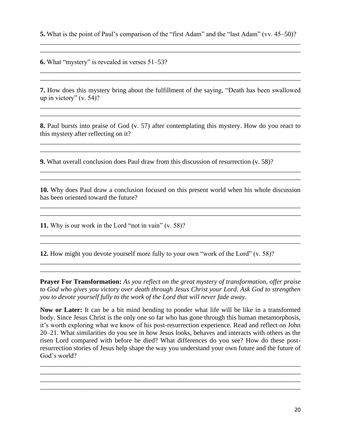**5.** What is the point of Paul's comparison of the "first Adam" and the "last Adam" (vv. 45–50)? \_\_\_\_\_\_\_\_\_\_\_\_\_\_\_\_\_\_\_\_\_\_\_\_\_\_\_\_\_\_\_\_\_\_\_\_\_\_\_\_\_\_\_\_\_\_\_\_\_\_\_\_\_\_\_\_\_\_\_\_\_\_\_\_\_\_\_\_\_\_\_\_\_\_\_\_\_\_

\_\_\_\_\_\_\_\_\_\_\_\_\_\_\_\_\_\_\_\_\_\_\_\_\_\_\_\_\_\_\_\_\_\_\_\_\_\_\_\_\_\_\_\_\_\_\_\_\_\_\_\_\_\_\_\_\_\_\_\_\_\_\_\_\_\_\_\_\_\_\_\_\_\_\_\_\_\_

\_\_\_\_\_\_\_\_\_\_\_\_\_\_\_\_\_\_\_\_\_\_\_\_\_\_\_\_\_\_\_\_\_\_\_\_\_\_\_\_\_\_\_\_\_\_\_\_\_\_\_\_\_\_\_\_\_\_\_\_\_\_\_\_\_\_\_\_\_\_\_\_\_\_\_\_\_\_ \_\_\_\_\_\_\_\_\_\_\_\_\_\_\_\_\_\_\_\_\_\_\_\_\_\_\_\_\_\_\_\_\_\_\_\_\_\_\_\_\_\_\_\_\_\_\_\_\_\_\_\_\_\_\_\_\_\_\_\_\_\_\_\_\_\_\_\_\_\_\_\_\_\_\_\_\_\_

**6.** What "mystery" is revealed in verses 51–53?

**7.** How does this mystery bring about the fulfillment of the saying, "Death has been swallowed up in victory"  $(v. 54)$ ?

\_\_\_\_\_\_\_\_\_\_\_\_\_\_\_\_\_\_\_\_\_\_\_\_\_\_\_\_\_\_\_\_\_\_\_\_\_\_\_\_\_\_\_\_\_\_\_\_\_\_\_\_\_\_\_\_\_\_\_\_\_\_\_\_\_\_\_\_\_\_\_\_\_\_\_\_\_\_ \_\_\_\_\_\_\_\_\_\_\_\_\_\_\_\_\_\_\_\_\_\_\_\_\_\_\_\_\_\_\_\_\_\_\_\_\_\_\_\_\_\_\_\_\_\_\_\_\_\_\_\_\_\_\_\_\_\_\_\_\_\_\_\_\_\_\_\_\_\_\_\_\_\_\_\_\_\_

**8.** Paul bursts into praise of God (v. 57) after contemplating this mystery. How do you react to this mystery after reflecting on it?

\_\_\_\_\_\_\_\_\_\_\_\_\_\_\_\_\_\_\_\_\_\_\_\_\_\_\_\_\_\_\_\_\_\_\_\_\_\_\_\_\_\_\_\_\_\_\_\_\_\_\_\_\_\_\_\_\_\_\_\_\_\_\_\_\_\_\_\_\_\_\_\_\_\_\_\_\_\_ \_\_\_\_\_\_\_\_\_\_\_\_\_\_\_\_\_\_\_\_\_\_\_\_\_\_\_\_\_\_\_\_\_\_\_\_\_\_\_\_\_\_\_\_\_\_\_\_\_\_\_\_\_\_\_\_\_\_\_\_\_\_\_\_\_\_\_\_\_\_\_\_\_\_\_\_\_\_

**9.** What overall conclusion does Paul draw from this discussion of resurrection (v. 58)?

**10.** Why does Paul draw a conclusion focused on this present world when his whole discussion has been oriented toward the future?

\_\_\_\_\_\_\_\_\_\_\_\_\_\_\_\_\_\_\_\_\_\_\_\_\_\_\_\_\_\_\_\_\_\_\_\_\_\_\_\_\_\_\_\_\_\_\_\_\_\_\_\_\_\_\_\_\_\_\_\_\_\_\_\_\_\_\_\_\_\_\_\_\_\_\_\_\_\_ \_\_\_\_\_\_\_\_\_\_\_\_\_\_\_\_\_\_\_\_\_\_\_\_\_\_\_\_\_\_\_\_\_\_\_\_\_\_\_\_\_\_\_\_\_\_\_\_\_\_\_\_\_\_\_\_\_\_\_\_\_\_\_\_\_\_\_\_\_\_\_\_\_\_\_\_\_\_

\_\_\_\_\_\_\_\_\_\_\_\_\_\_\_\_\_\_\_\_\_\_\_\_\_\_\_\_\_\_\_\_\_\_\_\_\_\_\_\_\_\_\_\_\_\_\_\_\_\_\_\_\_\_\_\_\_\_\_\_\_\_\_\_\_\_\_\_\_\_\_\_\_\_\_\_\_\_ \_\_\_\_\_\_\_\_\_\_\_\_\_\_\_\_\_\_\_\_\_\_\_\_\_\_\_\_\_\_\_\_\_\_\_\_\_\_\_\_\_\_\_\_\_\_\_\_\_\_\_\_\_\_\_\_\_\_\_\_\_\_\_\_\_\_\_\_\_\_\_\_\_\_\_\_\_\_

\_\_\_\_\_\_\_\_\_\_\_\_\_\_\_\_\_\_\_\_\_\_\_\_\_\_\_\_\_\_\_\_\_\_\_\_\_\_\_\_\_\_\_\_\_\_\_\_\_\_\_\_\_\_\_\_\_\_\_\_\_\_\_\_\_\_\_\_\_\_\_\_\_\_\_\_\_\_ \_\_\_\_\_\_\_\_\_\_\_\_\_\_\_\_\_\_\_\_\_\_\_\_\_\_\_\_\_\_\_\_\_\_\_\_\_\_\_\_\_\_\_\_\_\_\_\_\_\_\_\_\_\_\_\_\_\_\_\_\_\_\_\_\_\_\_\_\_\_\_\_\_\_\_\_\_\_

\_\_\_\_\_\_\_\_\_\_\_\_\_\_\_\_\_\_\_\_\_\_\_\_\_\_\_\_\_\_\_\_\_\_\_\_\_\_\_\_\_\_\_\_\_\_\_\_\_\_\_\_\_\_\_\_\_\_\_\_\_\_\_\_\_\_\_\_\_\_\_\_\_\_\_\_\_\_ \_\_\_\_\_\_\_\_\_\_\_\_\_\_\_\_\_\_\_\_\_\_\_\_\_\_\_\_\_\_\_\_\_\_\_\_\_\_\_\_\_\_\_\_\_\_\_\_\_\_\_\_\_\_\_\_\_\_\_\_\_\_\_\_\_\_\_\_\_\_\_\_\_\_\_\_\_\_

**11.** Why is our work in the Lord "not in vain" (v. 58)?

**12.** How might you devote yourself more fully to your own "work of the Lord" (v. 58)?

**Prayer For Transformation:** *As you reflect on the great mystery of transformation, offer praise to God who gives you victory over death through Jesus Christ your Lord. Ask God to strengthen you to devote yourself fully to the work of the Lord that will never fade away*.

**Now or Later:** It can be a bit mind bending to ponder what life will be like in a transformed body. Since Jesus Christ is the only one so far who has gone through this human metamorphosis, it's worth exploring what we know of his post-resurrection experience. Read and reflect on John 20–21. What similarities do you see in how Jesus looks, behaves and interacts with others as the risen Lord compared with before he died? What differences do you see? How do these postresurrection stories of Jesus help shape the way you understand your own future and the future of God's world?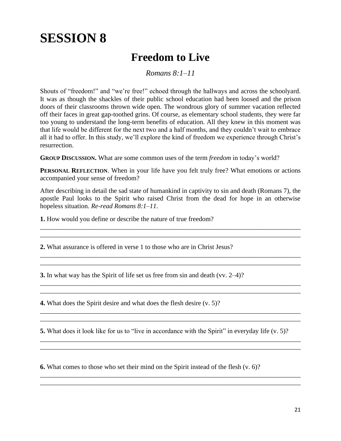## **Freedom to Live**

*Romans 8:1–11*

Shouts of "freedom!" and "we're free!" echoed through the hallways and across the schoolyard. It was as though the shackles of their public school education had been loosed and the prison doors of their classrooms thrown wide open. The wondrous glory of summer vacation reflected off their faces in great gap-toothed grins. Of course, as elementary school students, they were far too young to understand the long-term benefits of education. All they knew in this moment was that life would be different for the next two and a half months, and they couldn't wait to embrace all it had to offer. In this study, we'll explore the kind of freedom we experience through Christ's resurrection.

**GROUP DISCUSSION.** What are some common uses of the term *freedom* in today's world?

**PERSONAL REFLECTION**. When in your life have you felt truly free? What emotions or actions accompanied your sense of freedom?

After describing in detail the sad state of humankind in captivity to sin and death (Romans 7), the apostle Paul looks to the Spirit who raised Christ from the dead for hope in an otherwise hopeless situation. *Re-read Romans 8:1–11*.

\_\_\_\_\_\_\_\_\_\_\_\_\_\_\_\_\_\_\_\_\_\_\_\_\_\_\_\_\_\_\_\_\_\_\_\_\_\_\_\_\_\_\_\_\_\_\_\_\_\_\_\_\_\_\_\_\_\_\_\_\_\_\_\_\_\_\_\_\_\_\_\_\_\_\_\_\_\_ \_\_\_\_\_\_\_\_\_\_\_\_\_\_\_\_\_\_\_\_\_\_\_\_\_\_\_\_\_\_\_\_\_\_\_\_\_\_\_\_\_\_\_\_\_\_\_\_\_\_\_\_\_\_\_\_\_\_\_\_\_\_\_\_\_\_\_\_\_\_\_\_\_\_\_\_\_\_

\_\_\_\_\_\_\_\_\_\_\_\_\_\_\_\_\_\_\_\_\_\_\_\_\_\_\_\_\_\_\_\_\_\_\_\_\_\_\_\_\_\_\_\_\_\_\_\_\_\_\_\_\_\_\_\_\_\_\_\_\_\_\_\_\_\_\_\_\_\_\_\_\_\_\_\_\_\_ \_\_\_\_\_\_\_\_\_\_\_\_\_\_\_\_\_\_\_\_\_\_\_\_\_\_\_\_\_\_\_\_\_\_\_\_\_\_\_\_\_\_\_\_\_\_\_\_\_\_\_\_\_\_\_\_\_\_\_\_\_\_\_\_\_\_\_\_\_\_\_\_\_\_\_\_\_\_

\_\_\_\_\_\_\_\_\_\_\_\_\_\_\_\_\_\_\_\_\_\_\_\_\_\_\_\_\_\_\_\_\_\_\_\_\_\_\_\_\_\_\_\_\_\_\_\_\_\_\_\_\_\_\_\_\_\_\_\_\_\_\_\_\_\_\_\_\_\_\_\_\_\_\_\_\_\_ \_\_\_\_\_\_\_\_\_\_\_\_\_\_\_\_\_\_\_\_\_\_\_\_\_\_\_\_\_\_\_\_\_\_\_\_\_\_\_\_\_\_\_\_\_\_\_\_\_\_\_\_\_\_\_\_\_\_\_\_\_\_\_\_\_\_\_\_\_\_\_\_\_\_\_\_\_\_

\_\_\_\_\_\_\_\_\_\_\_\_\_\_\_\_\_\_\_\_\_\_\_\_\_\_\_\_\_\_\_\_\_\_\_\_\_\_\_\_\_\_\_\_\_\_\_\_\_\_\_\_\_\_\_\_\_\_\_\_\_\_\_\_\_\_\_\_\_\_\_\_\_\_\_\_\_\_ \_\_\_\_\_\_\_\_\_\_\_\_\_\_\_\_\_\_\_\_\_\_\_\_\_\_\_\_\_\_\_\_\_\_\_\_\_\_\_\_\_\_\_\_\_\_\_\_\_\_\_\_\_\_\_\_\_\_\_\_\_\_\_\_\_\_\_\_\_\_\_\_\_\_\_\_\_\_

\_\_\_\_\_\_\_\_\_\_\_\_\_\_\_\_\_\_\_\_\_\_\_\_\_\_\_\_\_\_\_\_\_\_\_\_\_\_\_\_\_\_\_\_\_\_\_\_\_\_\_\_\_\_\_\_\_\_\_\_\_\_\_\_\_\_\_\_\_\_\_\_\_\_\_\_\_\_ \_\_\_\_\_\_\_\_\_\_\_\_\_\_\_\_\_\_\_\_\_\_\_\_\_\_\_\_\_\_\_\_\_\_\_\_\_\_\_\_\_\_\_\_\_\_\_\_\_\_\_\_\_\_\_\_\_\_\_\_\_\_\_\_\_\_\_\_\_\_\_\_\_\_\_\_\_\_

\_\_\_\_\_\_\_\_\_\_\_\_\_\_\_\_\_\_\_\_\_\_\_\_\_\_\_\_\_\_\_\_\_\_\_\_\_\_\_\_\_\_\_\_\_\_\_\_\_\_\_\_\_\_\_\_\_\_\_\_\_\_\_\_\_\_\_\_\_\_\_\_\_\_\_\_\_\_ \_\_\_\_\_\_\_\_\_\_\_\_\_\_\_\_\_\_\_\_\_\_\_\_\_\_\_\_\_\_\_\_\_\_\_\_\_\_\_\_\_\_\_\_\_\_\_\_\_\_\_\_\_\_\_\_\_\_\_\_\_\_\_\_\_\_\_\_\_\_\_\_\_\_\_\_\_\_

**1.** How would you define or describe the nature of true freedom?

**2.** What assurance is offered in verse 1 to those who are in Christ Jesus?

**3.** In what way has the Spirit of life set us free from sin and death (vv. 2–4)?

**4.** What does the Spirit desire and what does the flesh desire (v. 5)?

**5.** What does it look like for us to "live in accordance with the Spirit" in everyday life (v. 5)?

**6.** What comes to those who set their mind on the Spirit instead of the flesh (v. 6)?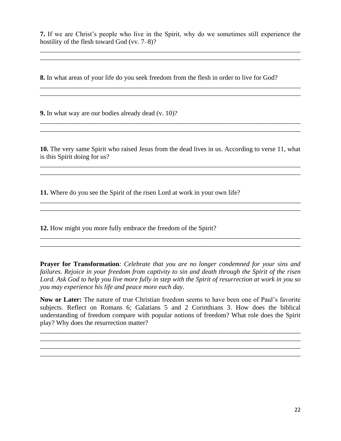**7.** If we are Christ's people who live in the Spirit, why do we sometimes still experience the hostility of the flesh toward God (vv. 7–8)?

\_\_\_\_\_\_\_\_\_\_\_\_\_\_\_\_\_\_\_\_\_\_\_\_\_\_\_\_\_\_\_\_\_\_\_\_\_\_\_\_\_\_\_\_\_\_\_\_\_\_\_\_\_\_\_\_\_\_\_\_\_\_\_\_\_\_\_\_\_\_\_\_\_\_\_\_\_\_ \_\_\_\_\_\_\_\_\_\_\_\_\_\_\_\_\_\_\_\_\_\_\_\_\_\_\_\_\_\_\_\_\_\_\_\_\_\_\_\_\_\_\_\_\_\_\_\_\_\_\_\_\_\_\_\_\_\_\_\_\_\_\_\_\_\_\_\_\_\_\_\_\_\_\_\_\_\_

\_\_\_\_\_\_\_\_\_\_\_\_\_\_\_\_\_\_\_\_\_\_\_\_\_\_\_\_\_\_\_\_\_\_\_\_\_\_\_\_\_\_\_\_\_\_\_\_\_\_\_\_\_\_\_\_\_\_\_\_\_\_\_\_\_\_\_\_\_\_\_\_\_\_\_\_\_\_ \_\_\_\_\_\_\_\_\_\_\_\_\_\_\_\_\_\_\_\_\_\_\_\_\_\_\_\_\_\_\_\_\_\_\_\_\_\_\_\_\_\_\_\_\_\_\_\_\_\_\_\_\_\_\_\_\_\_\_\_\_\_\_\_\_\_\_\_\_\_\_\_\_\_\_\_\_\_

**8.** In what areas of your life do you seek freedom from the flesh in order to live for God?

**9.** In what way are our bodies already dead (v. 10)?

**10.** The very same Spirit who raised Jesus from the dead lives in us. According to verse 11, what is this Spirit doing for us?

\_\_\_\_\_\_\_\_\_\_\_\_\_\_\_\_\_\_\_\_\_\_\_\_\_\_\_\_\_\_\_\_\_\_\_\_\_\_\_\_\_\_\_\_\_\_\_\_\_\_\_\_\_\_\_\_\_\_\_\_\_\_\_\_\_\_\_\_\_\_\_\_\_\_\_\_\_\_ \_\_\_\_\_\_\_\_\_\_\_\_\_\_\_\_\_\_\_\_\_\_\_\_\_\_\_\_\_\_\_\_\_\_\_\_\_\_\_\_\_\_\_\_\_\_\_\_\_\_\_\_\_\_\_\_\_\_\_\_\_\_\_\_\_\_\_\_\_\_\_\_\_\_\_\_\_\_

\_\_\_\_\_\_\_\_\_\_\_\_\_\_\_\_\_\_\_\_\_\_\_\_\_\_\_\_\_\_\_\_\_\_\_\_\_\_\_\_\_\_\_\_\_\_\_\_\_\_\_\_\_\_\_\_\_\_\_\_\_\_\_\_\_\_\_\_\_\_\_\_\_\_\_\_\_\_

\_\_\_\_\_\_\_\_\_\_\_\_\_\_\_\_\_\_\_\_\_\_\_\_\_\_\_\_\_\_\_\_\_\_\_\_\_\_\_\_\_\_\_\_\_\_\_\_\_\_\_\_\_\_\_\_\_\_\_\_\_\_\_\_\_\_\_\_\_\_\_\_\_\_\_\_\_\_ \_\_\_\_\_\_\_\_\_\_\_\_\_\_\_\_\_\_\_\_\_\_\_\_\_\_\_\_\_\_\_\_\_\_\_\_\_\_\_\_\_\_\_\_\_\_\_\_\_\_\_\_\_\_\_\_\_\_\_\_\_\_\_\_\_\_\_\_\_\_\_\_\_\_\_\_\_\_

**11.** Where do you see the Spirit of the risen Lord at work in your own life?

**12.** How might you more fully embrace the freedom of the Spirit?

**Prayer for Transformation***: Celebrate that you are no longer condemned for your sins and failures. Rejoice in your freedom from captivity to sin and death through the Spirit of the risen Lord. Ask God to help you live more fully in step with the Spirit of resurrection at work in you so you may experience his life and peace more each day*.

\_\_\_\_\_\_\_\_\_\_\_\_\_\_\_\_\_\_\_\_\_\_\_\_\_\_\_\_\_\_\_\_\_\_\_\_\_\_\_\_\_\_\_\_\_\_\_\_\_\_\_\_\_\_\_\_\_\_\_\_\_\_\_\_\_\_\_\_\_\_\_\_\_\_\_\_\_\_

**Now or Later:** The nature of true Christian freedom seems to have been one of Paul's favorite subjects. Reflect on Romans 6; Galatians 5 and 2 Corinthians 3. How does the biblical understanding of freedom compare with popular notions of freedom? What role does the Spirit play? Why does the resurrection matter?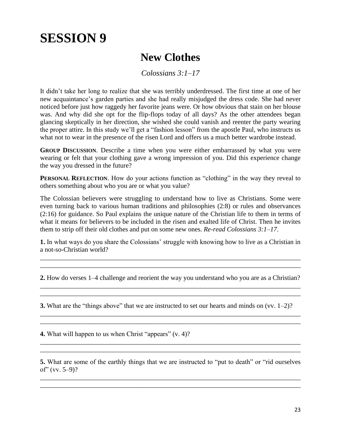### **New Clothes**

*Colossians 3:1–17*

It didn't take her long to realize that she was terribly underdressed. The first time at one of her new acquaintance's garden parties and she had really misjudged the dress code. She had never noticed before just how raggedy her favorite jeans were. Or how obvious that stain on her blouse was. And why did she opt for the flip-flops today of all days? As the other attendees began glancing skeptically in her direction, she wished she could vanish and reenter the party wearing the proper attire. In this study we'll get a "fashion lesson" from the apostle Paul, who instructs us what not to wear in the presence of the risen Lord and offers us a much better wardrobe instead.

**GROUP DISCUSSION.** Describe a time when you were either embarrassed by what you were wearing or felt that your clothing gave a wrong impression of you. Did this experience change the way you dressed in the future?

**PERSONAL REFLECTION.** How do your actions function as "clothing" in the way they reveal to others something about who you are or what you value?

The Colossian believers were struggling to understand how to live as Christians. Some were even turning back to various human traditions and philosophies (2:8) or rules and observances (2:16) for guidance. So Paul explains the unique nature of the Christian life to them in terms of what it means for believers to be included in the risen and exalted life of Christ. Then he invites them to strip off their old clothes and put on some new ones. *Re-read Colossians 3:1–17*.

**1.** In what ways do you share the Colossians' struggle with knowing how to live as a Christian in a not-so-Christian world?

\_\_\_\_\_\_\_\_\_\_\_\_\_\_\_\_\_\_\_\_\_\_\_\_\_\_\_\_\_\_\_\_\_\_\_\_\_\_\_\_\_\_\_\_\_\_\_\_\_\_\_\_\_\_\_\_\_\_\_\_\_\_\_\_\_\_\_\_\_\_\_\_\_\_\_\_\_\_ \_\_\_\_\_\_\_\_\_\_\_\_\_\_\_\_\_\_\_\_\_\_\_\_\_\_\_\_\_\_\_\_\_\_\_\_\_\_\_\_\_\_\_\_\_\_\_\_\_\_\_\_\_\_\_\_\_\_\_\_\_\_\_\_\_\_\_\_\_\_\_\_\_\_\_\_\_\_

**2.** How do verses 1–4 challenge and reorient the way you understand who you are as a Christian? \_\_\_\_\_\_\_\_\_\_\_\_\_\_\_\_\_\_\_\_\_\_\_\_\_\_\_\_\_\_\_\_\_\_\_\_\_\_\_\_\_\_\_\_\_\_\_\_\_\_\_\_\_\_\_\_\_\_\_\_\_\_\_\_\_\_\_\_\_\_\_\_\_\_\_\_\_\_

\_\_\_\_\_\_\_\_\_\_\_\_\_\_\_\_\_\_\_\_\_\_\_\_\_\_\_\_\_\_\_\_\_\_\_\_\_\_\_\_\_\_\_\_\_\_\_\_\_\_\_\_\_\_\_\_\_\_\_\_\_\_\_\_\_\_\_\_\_\_\_\_\_\_\_\_\_\_

\_\_\_\_\_\_\_\_\_\_\_\_\_\_\_\_\_\_\_\_\_\_\_\_\_\_\_\_\_\_\_\_\_\_\_\_\_\_\_\_\_\_\_\_\_\_\_\_\_\_\_\_\_\_\_\_\_\_\_\_\_\_\_\_\_\_\_\_\_\_\_\_\_\_\_\_\_\_

\_\_\_\_\_\_\_\_\_\_\_\_\_\_\_\_\_\_\_\_\_\_\_\_\_\_\_\_\_\_\_\_\_\_\_\_\_\_\_\_\_\_\_\_\_\_\_\_\_\_\_\_\_\_\_\_\_\_\_\_\_\_\_\_\_\_\_\_\_\_\_\_\_\_\_\_\_\_ \_\_\_\_\_\_\_\_\_\_\_\_\_\_\_\_\_\_\_\_\_\_\_\_\_\_\_\_\_\_\_\_\_\_\_\_\_\_\_\_\_\_\_\_\_\_\_\_\_\_\_\_\_\_\_\_\_\_\_\_\_\_\_\_\_\_\_\_\_\_\_\_\_\_\_\_\_\_

**3.** What are the "things above" that we are instructed to set our hearts and minds on (vv. 1–2)? \_\_\_\_\_\_\_\_\_\_\_\_\_\_\_\_\_\_\_\_\_\_\_\_\_\_\_\_\_\_\_\_\_\_\_\_\_\_\_\_\_\_\_\_\_\_\_\_\_\_\_\_\_\_\_\_\_\_\_\_\_\_\_\_\_\_\_\_\_\_\_\_\_\_\_\_\_\_

**4.** What will happen to us when Christ "appears" (v. 4)?

**5.** What are some of the earthly things that we are instructed to "put to death" or "rid ourselves of" (vv. 5–9)?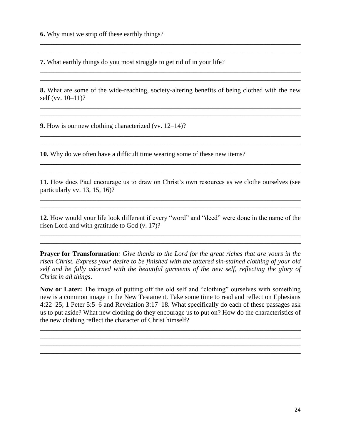**6.** Why must we strip off these earthly things?

**7.** What earthly things do you most struggle to get rid of in your life?

**8.** What are some of the wide-reaching, society-altering benefits of being clothed with the new self (vv. 10–11)?

\_\_\_\_\_\_\_\_\_\_\_\_\_\_\_\_\_\_\_\_\_\_\_\_\_\_\_\_\_\_\_\_\_\_\_\_\_\_\_\_\_\_\_\_\_\_\_\_\_\_\_\_\_\_\_\_\_\_\_\_\_\_\_\_\_\_\_\_\_\_\_\_\_\_\_\_\_\_ \_\_\_\_\_\_\_\_\_\_\_\_\_\_\_\_\_\_\_\_\_\_\_\_\_\_\_\_\_\_\_\_\_\_\_\_\_\_\_\_\_\_\_\_\_\_\_\_\_\_\_\_\_\_\_\_\_\_\_\_\_\_\_\_\_\_\_\_\_\_\_\_\_\_\_\_\_\_

 $\mathcal{L}_\mathcal{L} = \{ \mathcal{L}_\mathcal{L} = \{ \mathcal{L}_\mathcal{L} = \{ \mathcal{L}_\mathcal{L} = \{ \mathcal{L}_\mathcal{L} = \{ \mathcal{L}_\mathcal{L} = \{ \mathcal{L}_\mathcal{L} = \{ \mathcal{L}_\mathcal{L} = \{ \mathcal{L}_\mathcal{L} = \{ \mathcal{L}_\mathcal{L} = \{ \mathcal{L}_\mathcal{L} = \{ \mathcal{L}_\mathcal{L} = \{ \mathcal{L}_\mathcal{L} = \{ \mathcal{L}_\mathcal{L} = \{ \mathcal{L}_\mathcal{$ \_\_\_\_\_\_\_\_\_\_\_\_\_\_\_\_\_\_\_\_\_\_\_\_\_\_\_\_\_\_\_\_\_\_\_\_\_\_\_\_\_\_\_\_\_\_\_\_\_\_\_\_\_\_\_\_\_\_\_\_\_\_\_\_\_\_\_\_\_\_\_\_\_\_\_\_\_\_

\_\_\_\_\_\_\_\_\_\_\_\_\_\_\_\_\_\_\_\_\_\_\_\_\_\_\_\_\_\_\_\_\_\_\_\_\_\_\_\_\_\_\_\_\_\_\_\_\_\_\_\_\_\_\_\_\_\_\_\_\_\_\_\_\_\_\_\_\_\_\_\_\_\_\_\_\_\_

\_\_\_\_\_\_\_\_\_\_\_\_\_\_\_\_\_\_\_\_\_\_\_\_\_\_\_\_\_\_\_\_\_\_\_\_\_\_\_\_\_\_\_\_\_\_\_\_\_\_\_\_\_\_\_\_\_\_\_\_\_\_\_\_\_\_\_\_\_\_\_\_\_\_\_\_\_\_ \_\_\_\_\_\_\_\_\_\_\_\_\_\_\_\_\_\_\_\_\_\_\_\_\_\_\_\_\_\_\_\_\_\_\_\_\_\_\_\_\_\_\_\_\_\_\_\_\_\_\_\_\_\_\_\_\_\_\_\_\_\_\_\_\_\_\_\_\_\_\_\_\_\_\_\_\_\_

**9.** How is our new clothing characterized (vv. 12–14)?

**10.** Why do we often have a difficult time wearing some of these new items?

**11.** How does Paul encourage us to draw on Christ's own resources as we clothe ourselves (see particularly vv. 13, 15, 16)?

\_\_\_\_\_\_\_\_\_\_\_\_\_\_\_\_\_\_\_\_\_\_\_\_\_\_\_\_\_\_\_\_\_\_\_\_\_\_\_\_\_\_\_\_\_\_\_\_\_\_\_\_\_\_\_\_\_\_\_\_\_\_\_\_\_\_\_\_\_\_\_\_\_\_\_\_\_\_ \_\_\_\_\_\_\_\_\_\_\_\_\_\_\_\_\_\_\_\_\_\_\_\_\_\_\_\_\_\_\_\_\_\_\_\_\_\_\_\_\_\_\_\_\_\_\_\_\_\_\_\_\_\_\_\_\_\_\_\_\_\_\_\_\_\_\_\_\_\_\_\_\_\_\_\_\_\_

\_\_\_\_\_\_\_\_\_\_\_\_\_\_\_\_\_\_\_\_\_\_\_\_\_\_\_\_\_\_\_\_\_\_\_\_\_\_\_\_\_\_\_\_\_\_\_\_\_\_\_\_\_\_\_\_\_\_\_\_\_\_\_\_\_\_\_\_\_\_\_\_\_\_\_\_\_\_ \_\_\_\_\_\_\_\_\_\_\_\_\_\_\_\_\_\_\_\_\_\_\_\_\_\_\_\_\_\_\_\_\_\_\_\_\_\_\_\_\_\_\_\_\_\_\_\_\_\_\_\_\_\_\_\_\_\_\_\_\_\_\_\_\_\_\_\_\_\_\_\_\_\_\_\_\_\_

**12.** How would your life look different if every "word" and "deed" were done in the name of the risen Lord and with gratitude to God (v. 17)?

\_\_\_\_\_\_\_\_\_\_\_\_\_\_\_\_\_\_\_\_\_\_\_\_\_\_\_\_\_\_\_\_\_\_\_\_\_\_\_\_\_\_\_\_\_\_\_\_\_\_\_\_\_\_\_\_\_\_\_\_\_\_\_\_\_\_\_\_\_\_\_\_\_\_\_\_\_\_ \_\_\_\_\_\_\_\_\_\_\_\_\_\_\_\_\_\_\_\_\_\_\_\_\_\_\_\_\_\_\_\_\_\_\_\_\_\_\_\_\_\_\_\_\_\_\_\_\_\_\_\_\_\_\_\_\_\_\_\_\_\_\_\_\_\_\_\_\_\_\_\_\_\_\_\_\_\_

**Prayer for Transformation***: Give thanks to the Lord for the great riches that are yours in the risen Christ. Express your desire to be finished with the tattered sin-stained clothing of your old self and be fully adorned with the beautiful garments of the new self, reflecting the glory of Christ in all things*.

**Now or Later:** The image of putting off the old self and "clothing" ourselves with something new is a common image in the New Testament. Take some time to read and reflect on Ephesians 4:22–25; 1 Peter 5:5–6 and Revelation 3:17–18. What specifically do each of these passages ask us to put aside? What new clothing do they encourage us to put on? How do the characteristics of the new clothing reflect the character of Christ himself?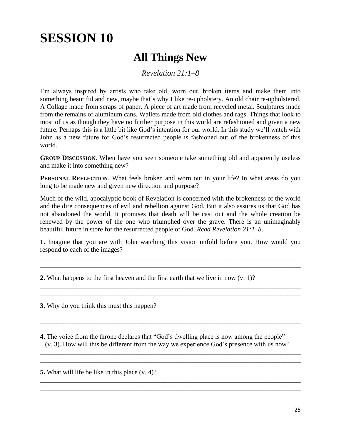## **All Things New**

*Revelation 21:1–8*

I'm always inspired by artists who take old, worn out, broken items and make them into something beautiful and new, maybe that's why I like re-upholstery. An old chair re-upholstered. A Collage made from scraps of paper. A piece of art made from recycled metal. Sculptures made from the remains of aluminum cans. Wallets made from old clothes and rags. Things that look to most of us as though they have no further purpose in this world are refashioned and given a new future. Perhaps this is a little bit like God's intention for our world. In this study we'll watch with John as a new future for God's resurrected people is fashioned out of the brokenness of this world.

GROUP DISCUSSION. When have you seen someone take something old and apparently useless and make it into something new?

PERSONAL REFLECTION. What feels broken and worn out in your life? In what areas do you long to be made new and given new direction and purpose?

Much of the wild, apocalyptic book of Revelation is concerned with the brokenness of the world and the dire consequences of evil and rebellion against God. But it also assures us that God has not abandoned the world. It promises that death will be cast out and the whole creation be renewed by the power of the one who triumphed over the grave. There is an unimaginably beautiful future in store for the resurrected people of God. *Read Revelation 21:1–8*.

**1.** Imagine that you are with John watching this vision unfold before you. How would you respond to each of the images?

\_\_\_\_\_\_\_\_\_\_\_\_\_\_\_\_\_\_\_\_\_\_\_\_\_\_\_\_\_\_\_\_\_\_\_\_\_\_\_\_\_\_\_\_\_\_\_\_\_\_\_\_\_\_\_\_\_\_\_\_\_\_\_\_\_\_\_\_\_\_\_\_\_\_\_\_\_\_ \_\_\_\_\_\_\_\_\_\_\_\_\_\_\_\_\_\_\_\_\_\_\_\_\_\_\_\_\_\_\_\_\_\_\_\_\_\_\_\_\_\_\_\_\_\_\_\_\_\_\_\_\_\_\_\_\_\_\_\_\_\_\_\_\_\_\_\_\_\_\_\_\_\_\_\_\_\_

\_\_\_\_\_\_\_\_\_\_\_\_\_\_\_\_\_\_\_\_\_\_\_\_\_\_\_\_\_\_\_\_\_\_\_\_\_\_\_\_\_\_\_\_\_\_\_\_\_\_\_\_\_\_\_\_\_\_\_\_\_\_\_\_\_\_\_\_\_\_\_\_\_\_\_\_\_\_ \_\_\_\_\_\_\_\_\_\_\_\_\_\_\_\_\_\_\_\_\_\_\_\_\_\_\_\_\_\_\_\_\_\_\_\_\_\_\_\_\_\_\_\_\_\_\_\_\_\_\_\_\_\_\_\_\_\_\_\_\_\_\_\_\_\_\_\_\_\_\_\_\_\_\_\_\_\_

\_\_\_\_\_\_\_\_\_\_\_\_\_\_\_\_\_\_\_\_\_\_\_\_\_\_\_\_\_\_\_\_\_\_\_\_\_\_\_\_\_\_\_\_\_\_\_\_\_\_\_\_\_\_\_\_\_\_\_\_\_\_\_\_\_\_\_\_\_\_\_\_\_\_\_\_\_\_ \_\_\_\_\_\_\_\_\_\_\_\_\_\_\_\_\_\_\_\_\_\_\_\_\_\_\_\_\_\_\_\_\_\_\_\_\_\_\_\_\_\_\_\_\_\_\_\_\_\_\_\_\_\_\_\_\_\_\_\_\_\_\_\_\_\_\_\_\_\_\_\_\_\_\_\_\_\_

**2.** What happens to the first heaven and the first earth that we live in now (v. 1)?

**3.** Why do you think this must this happen?

**4.** The voice from the throne declares that "God's dwelling place is now among the people" (v. 3). How will this be different from the way we experience God's presence with us now?

\_\_\_\_\_\_\_\_\_\_\_\_\_\_\_\_\_\_\_\_\_\_\_\_\_\_\_\_\_\_\_\_\_\_\_\_\_\_\_\_\_\_\_\_\_\_\_\_\_\_\_\_\_\_\_\_\_\_\_\_\_\_\_\_\_\_\_\_\_\_\_\_\_\_\_\_\_\_ \_\_\_\_\_\_\_\_\_\_\_\_\_\_\_\_\_\_\_\_\_\_\_\_\_\_\_\_\_\_\_\_\_\_\_\_\_\_\_\_\_\_\_\_\_\_\_\_\_\_\_\_\_\_\_\_\_\_\_\_\_\_\_\_\_\_\_\_\_\_\_\_\_\_\_\_\_\_

\_\_\_\_\_\_\_\_\_\_\_\_\_\_\_\_\_\_\_\_\_\_\_\_\_\_\_\_\_\_\_\_\_\_\_\_\_\_\_\_\_\_\_\_\_\_\_\_\_\_\_\_\_\_\_\_\_\_\_\_\_\_\_\_\_\_\_\_\_\_\_\_\_\_\_\_\_\_ \_\_\_\_\_\_\_\_\_\_\_\_\_\_\_\_\_\_\_\_\_\_\_\_\_\_\_\_\_\_\_\_\_\_\_\_\_\_\_\_\_\_\_\_\_\_\_\_\_\_\_\_\_\_\_\_\_\_\_\_\_\_\_\_\_\_\_\_\_\_\_\_\_\_\_\_\_\_

**5.** What will life be like in this place (v. 4)?